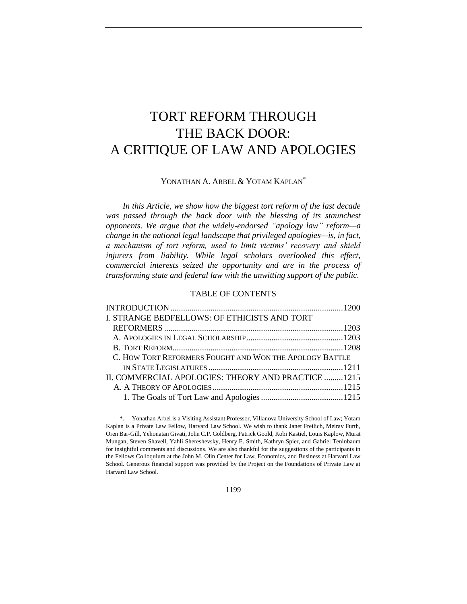# TORT REFORM THROUGH THE BACK DOOR: A CRITIQUE OF LAW AND APOLOGIES

# YONATHAN A. ARBEL & YOTAM KAPLAN<sup>\*</sup>

*In this Article, we show how the biggest tort reform of the last decade was passed through the back door with the blessing of its staunchest opponents. We argue that the widely-endorsed "apology law" reform—a change in the national legal landscape that privileged apologies—is, in fact, a mechanism of tort reform, used to limit victims' recovery and shield injurers from liability. While legal scholars overlooked this effect, commercial interests seized the opportunity and are in the process of transforming state and federal law with the unwitting support of the public.*

# TABLE OF CONTENTS

| I. STRANGE BEDFELLOWS: OF ETHICISTS AND TORT            |  |
|---------------------------------------------------------|--|
|                                                         |  |
|                                                         |  |
|                                                         |  |
| C. HOW TORT REFORMERS FOUGHT AND WON THE APOLOGY BATTLE |  |
|                                                         |  |
| II. COMMERCIAL APOLOGIES: THEORY AND PRACTICE 1215      |  |
|                                                         |  |
|                                                         |  |
|                                                         |  |

<sup>\*.</sup> Yonathan Arbel is a Visiting Assistant Professor, Villanova University School of Law; Yotam Kaplan is a Private Law Fellow, Harvard Law School. We wish to thank Janet Freilich, Meirav Furth, Oren Bar-Gill, Yehonatan Givati, John C.P. Goldberg, Patrick Goold, Kobi Kastiel, Louis Kaplow, Murat Mungan, Steven Shavell, Yahli Shereshevsky, Henry E. Smith, Kathryn Spier, and Gabriel Teninbaum for insightful comments and discussions. We are also thankful for the suggestions of the participants in the Fellows Colloquium at the John M. Olin Center for Law, Economics, and Business at Harvard Law School. Generous financial support was provided by the Project on the Foundations of Private Law at Harvard Law School.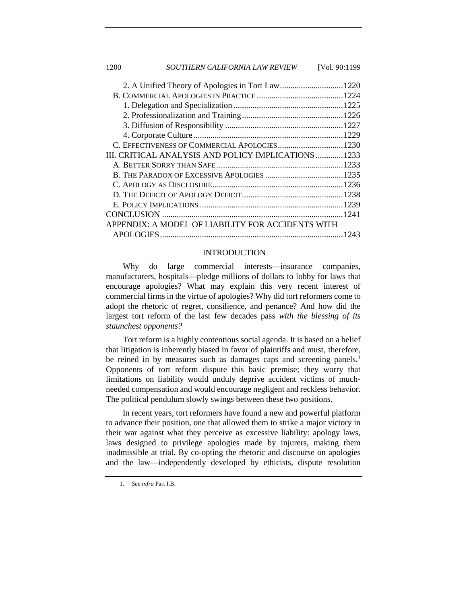1200 *SOUTHERN CALIFORNIA LAW REVIEW* [Vol. 90:1199

| 2. A Unified Theory of Apologies in Tort Law1220     |
|------------------------------------------------------|
|                                                      |
|                                                      |
|                                                      |
|                                                      |
|                                                      |
| C. EFFECTIVENESS OF COMMERCIAL APOLOGIES 1230        |
| III. CRITICAL ANALYSIS AND POLICY IMPLICATIONS  1233 |
|                                                      |
|                                                      |
|                                                      |
|                                                      |
|                                                      |
|                                                      |
| APPENDIX: A MODEL OF LIABILITY FOR ACCIDENTS WITH    |
|                                                      |
|                                                      |

#### <span id="page-1-0"></span>INTRODUCTION

Why do large commercial interests—insurance companies, manufacturers, hospitals—pledge millions of dollars to lobby for laws that encourage apologies? What may explain this very recent interest of commercial firms in the virtue of apologies? Why did tort reformers come to adopt the rhetoric of regret, consilience, and penance? And how did the largest tort reform of the last few decades pass *with the blessing of its staunchest opponents?*

Tort reform is a highly contentious social agenda. It is based on a belief that litigation is inherently biased in favor of plaintiffs and must, therefore, be reined in by measures such as damages caps and screening panels.<sup>1</sup> Opponents of tort reform dispute this basic premise; they worry that limitations on liability would unduly deprive accident victims of muchneeded compensation and would encourage negligent and reckless behavior. The political pendulum slowly swings between these two positions.

In recent years, tort reformers have found a new and powerful platform to advance their position, one that allowed them to strike a major victory in their war against what they perceive as excessive liability: apology laws, laws designed to privilege apologies made by injurers, making them inadmissible at trial. By co-opting the rhetoric and discourse on apologies and the law—independently developed by ethicists, dispute resolution

<sup>1.</sup> *See infra* Part I.B.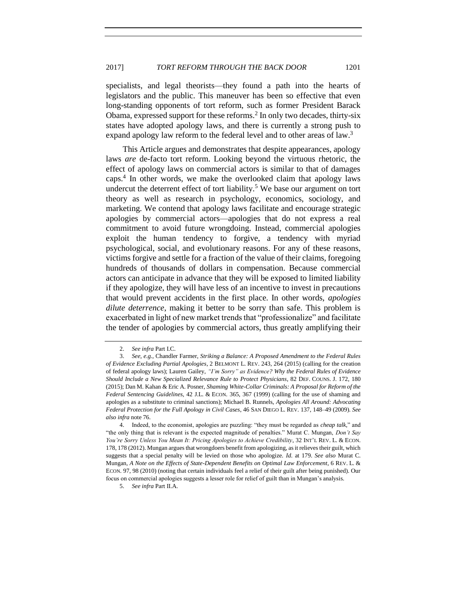specialists, and legal theorists—they found a path into the hearts of legislators and the public. This maneuver has been so effective that even long-standing opponents of tort reform, such as former President Barack Obama, expressed support for these reforms.<sup>2</sup> In only two decades, thirty-six states have adopted apology laws, and there is currently a strong push to expand apology law reform to the federal level and to other areas of law.<sup>3</sup>

<span id="page-2-1"></span><span id="page-2-0"></span>This Article argues and demonstrates that despite appearances, apology laws *are* de-facto tort reform. Looking beyond the virtuous rhetoric, the effect of apology laws on commercial actors is similar to that of damages caps.<sup>4</sup> In other words, we make the overlooked claim that apology laws undercut the deterrent effect of tort liability.<sup>5</sup> We base our argument on tort theory as well as research in psychology, economics, sociology, and marketing. We contend that apology laws facilitate and encourage strategic apologies by commercial actors—apologies that do not express a real commitment to avoid future wrongdoing. Instead, commercial apologies exploit the human tendency to forgive, a tendency with myriad psychological, social, and evolutionary reasons. For any of these reasons, victims forgive and settle for a fraction of the value of their claims, foregoing hundreds of thousands of dollars in compensation. Because commercial actors can anticipate in advance that they will be exposed to limited liability if they apologize, they will have less of an incentive to invest in precautions that would prevent accidents in the first place. In other words, *apologies dilute deterrence*, making it better to be sorry than safe. This problem is exacerbated in light of new market trends that "professionalize" and facilitate the tender of apologies by commercial actors, thus greatly amplifying their

<sup>2.</sup> *See infra* Part I.C.

<sup>3.</sup> *See, e.g.*, Chandler Farmer, *Striking a Balance: A Proposed Amendment to the Federal Rules of Evidence Excluding Partial Apologies*, 2 BELMONT L. REV. 243, 264 (2015) (calling for the creation of federal apology laws); Lauren Gailey, *"I'm Sorry" as Evidence? Why the Federal Rules of Evidence Should Include a New Specialized Relevance Rule to Protect Physicians*, 82 DEF. COUNS. J. 172, 180 (2015); Dan M. Kahan & Eric A. Posner, *Shaming White-Collar Criminals: A Proposal for Reform of the Federal Sentencing Guidelines*, 42 J.L. & ECON. 365, 367 (1999) (calling for the use of shaming and apologies as a substitute to criminal sanctions); Michael B. Runnels, *Apologies All Around: Advocating Federal Protection for the Full Apology in Civil Cases*, 46 SAN DIEGO L. REV. 137, 148–49 (2009). *See also infra* not[e 76.](#page-15-0) 

<sup>4.</sup> Indeed, to the economist, apologies are puzzling: "they must be regarded as *cheap talk*," and "the only thing that is relevant is the expected magnitude of penalties." Murat C. Mungan, *Don't Say You're Sorry Unless You Mean It: Pricing Apologies to Achieve Credibility*, 32 INT'L REV. L. & ECON. 178, 178 (2012). Mungan argues that wrongdoers benefit from apologizing, as it relieves their guilt, which suggests that a special penalty will be levied on those who apologize. *Id.* at 179. *See also* Murat C. Mungan, *A Note on the Effects of State-Dependent Benefits on Optimal Law Enforcement*, 6 REV. L. & ECON. 97, 98 (2010) (noting that certain individuals feel a relief of their guilt after being punished). Our focus on commercial apologies suggests a lesser role for relief of guilt than in Mungan's analysis.

<sup>5.</sup> *See infra* Part II.A.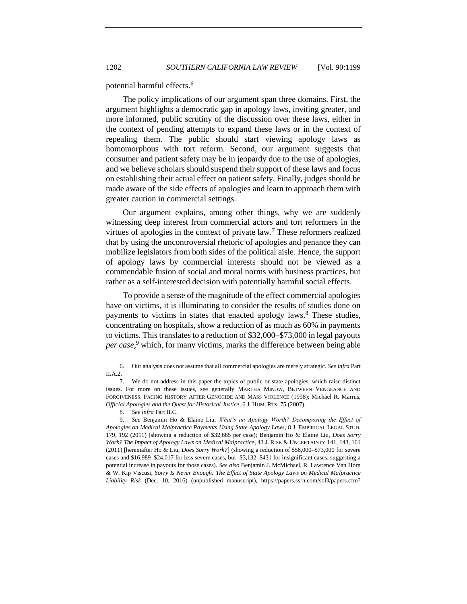potential harmful effects.<sup>6</sup>

The policy implications of our argument span three domains. First, the argument highlights a democratic gap in apology laws, inviting greater, and more informed, public scrutiny of the discussion over these laws, either in the context of pending attempts to expand these laws or in the context of repealing them. The public should start viewing apology laws as homomorphous with tort reform. Second, our argument suggests that consumer and patient safety may be in jeopardy due to the use of apologies, and we believe scholars should suspend their support of these laws and focus on establishing their actual effect on patient safety. Finally, judges should be made aware of the side effects of apologies and learn to approach them with greater caution in commercial settings.

Our argument explains, among other things, why we are suddenly witnessing deep interest from commercial actors and tort reformers in the virtues of apologies in the context of private law.<sup>7</sup> These reformers realized that by using the uncontroversial rhetoric of apologies and penance they can mobilize legislators from both sides of the political aisle. Hence, the support of apology laws by commercial interests should not be viewed as a commendable fusion of social and moral norms with business practices, but rather as a self-interested decision with potentially harmful social effects.

To provide a sense of the magnitude of the effect commercial apologies have on victims, it is illuminating to consider the results of studies done on payments to victims in states that enacted apology laws.<sup>8</sup> These studies, concentrating on hospitals, show a reduction of as much as 60% in payments to victims. This translates to a reduction of \$32,000–\$73,000 in legal payouts *per case*, <sup>9</sup> which, for many victims, marks the difference between being able

<span id="page-3-0"></span><sup>6.</sup> Our analysis does not assume that all commercial apologies are merely strategic. *See infra* Part  $II.A.2.$ 

<sup>7.</sup> We do not address in this paper the topics of public or state apologies, which raise distinct issues. For more on these issues, see generally MARTHA MINOW, BETWEEN VENGEANCE AND FORGIVENESS: FACING HISTORY AFTER GENOCIDE AND MASS VIOLENCE (1998); Michael R. Marrus, *Official Apologies and the Quest for Historical Justice*, 6 J. HUM. RTS. 75 (2007).

<sup>8.</sup> *See infra* Part II.C.

<sup>9.</sup> *See* Benjamin Ho & Elaine Liu, *What's an Apology Worth? Decomposing the Effect of Apologies on Medical Malpractice Payments Using State Apology Laws*, 8 J. EMPIRICAL LEGAL STUD. 179, 192 (2011) (showing a reduction of \$32,665 per case); Benjamin Ho & Elaine Liu, *Does Sorry Work? The Impact of Apology Laws on Medical Malpractice*, 43 J. RISK & UNCERTAINTY 141, 143, 161 (2011) [hereinafter Ho & Liu, *Does Sorry Work?*] (showing a reduction of \$58,000–\$73,000 for severe cases and \$16,989–\$24,017 for less severe cases, but -\$3,132–\$431 for insignificant cases, suggesting a potential increase in payouts for those cases)*. See also* Benjamin J. McMichael, R. Lawrence Van Horn & W. Kip Viscusi, *Sorry Is Never Enough: The Effect of State Apology Laws on Medical Malpractice Liability Risk* (Dec. 10, 2016) (unpublished manuscript), https://papers.ssrn.com/sol3/papers.cfm?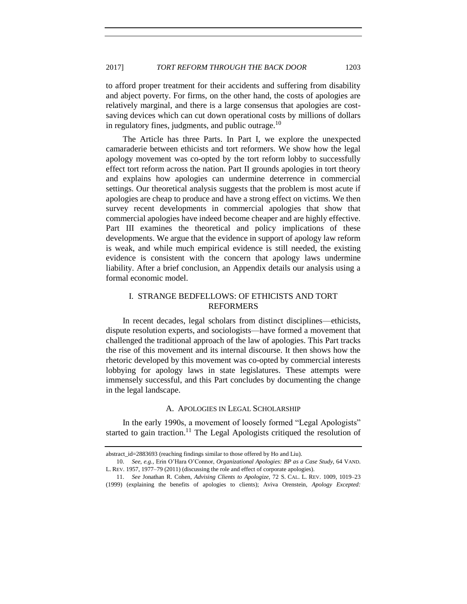to afford proper treatment for their accidents and suffering from disability and abject poverty. For firms, on the other hand, the costs of apologies are relatively marginal, and there is a large consensus that apologies are costsaving devices which can cut down operational costs by millions of dollars in regulatory fines, judgments, and public outrage. $^{10}$ 

<span id="page-4-3"></span>The Article has three Parts. In Part I, we explore the unexpected camaraderie between ethicists and tort reformers. We show how the legal apology movement was co-opted by the tort reform lobby to successfully effect tort reform across the nation. Part II grounds apologies in tort theory and explains how apologies can undermine deterrence in commercial settings. Our theoretical analysis suggests that the problem is most acute if apologies are cheap to produce and have a strong effect on victims. We then survey recent developments in commercial apologies that show that commercial apologies have indeed become cheaper and are highly effective. Part III examines the theoretical and policy implications of these developments. We argue that the evidence in support of apology law reform is weak, and while much empirical evidence is still needed, the existing evidence is consistent with the concern that apology laws undermine liability. After a brief conclusion, an Appendix details our analysis using a formal economic model.

# <span id="page-4-0"></span>I. STRANGE BEDFELLOWS: OF ETHICISTS AND TORT REFORMERS

In recent decades, legal scholars from distinct disciplines—ethicists, dispute resolution experts, and sociologists—have formed a movement that challenged the traditional approach of the law of apologies. This Part tracks the rise of this movement and its internal discourse. It then shows how the rhetoric developed by this movement was co-opted by commercial interests lobbying for apology laws in state legislatures. These attempts were immensely successful, and this Part concludes by documenting the change in the legal landscape.

#### <span id="page-4-2"></span>A. APOLOGIES IN LEGAL SCHOLARSHIP

<span id="page-4-1"></span>In the early 1990s, a movement of loosely formed "Legal Apologists" started to gain traction.<sup>11</sup> The Legal Apologists critiqued the resolution of

abstract\_id=2883693 (reaching findings similar to those offered by Ho and Liu).

<sup>10.</sup> *See, e.g.*, Erin O'Hara O'Connor, *Organizational Apologies: BP as a Case Study*, 64 VAND. L. REV. 1957, 1977–79 (2011) (discussing the role and effect of corporate apologies).

<sup>11.</sup> *See* Jonathan R. Cohen, *Advising Clients to Apologize*, 72 S. CAL. L. REV. 1009, 1019–23 (1999) (explaining the benefits of apologies to clients); Aviva Orenstein, *Apology Excepted:*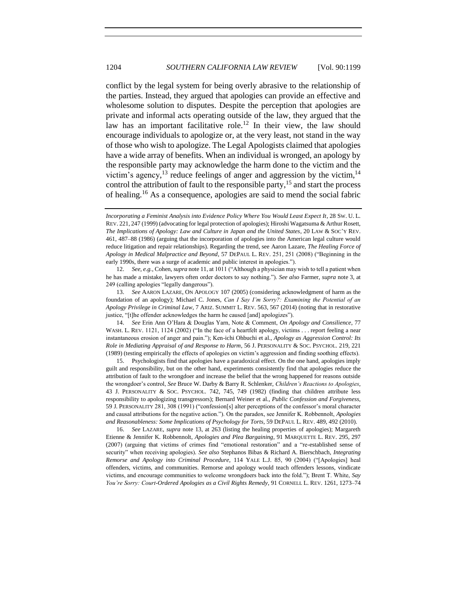conflict by the legal system for being overly abrasive to the relationship of the parties. Instead, they argued that apologies can provide an effective and wholesome solution to disputes. Despite the perception that apologies are private and informal acts operating outside of the law, they argued that the law has an important facilitative role.<sup>12</sup> In their view, the law should encourage individuals to apologize or, at the very least, not stand in the way of those who wish to apologize. The Legal Apologists claimed that apologies have a wide array of benefits. When an individual is wronged, an apology by the responsible party may acknowledge the harm done to the victim and the victim's agency,<sup>13</sup> reduce feelings of anger and aggression by the victim,<sup>14</sup> control the attribution of fault to the responsible party, <sup>15</sup> and start the process of healing.<sup>16</sup> As a consequence, apologies are said to mend the social fabric

12. *See, e.g.*, Cohen, *supra* not[e 11,](#page-4-2) at 1011 ("Although a physician may wish to tell a patient when he has made a mistake, lawyers often order doctors to say nothing."). *See also* Farmer, *supra* note [3,](#page-2-0) at 249 (calling apologies "legally dangerous").

13. *See* AARON LAZARE, ON APOLOGY 107 (2005) (considering acknowledgment of harm as the foundation of an apology); Michael C. Jones, *Can I Say I'm Sorry?: Examining the Potential of an Apology Privilege in Criminal Law*, 7 ARIZ. SUMMIT L. REV. 563, 567 (2014) (noting that in restorative justice, "[t]he offender acknowledges the harm he caused [and] apologizes").

14. *See* Erin Ann O'Hara & Douglas Yarn, Note & Comment, *On Apology and Consilience*, 77 WASH. L. REV. 1121, 1124 (2002) ("In the face of a heartfelt apology, victims . . . report feeling a near instantaneous erosion of anger and pain."); Ken-ichi Ohbuchi et al., *Apology as Aggression Control: Its Role in Mediating Appraisal of and Response to Harm*, 56 J. PERSONALITY & SOC. PSYCHOL. 219, 221 (1989) (testing empirically the effects of apologies on victim's aggression and finding soothing effects).

15. Psychologists find that apologies have a paradoxical effect. On the one hand, apologies imply guilt and responsibility, but on the other hand, experiments consistently find that apologies reduce the attribution of fault to the wrongdoer and increase the belief that the wrong happened for reasons outside the wrongdoer's control, *See* Bruce W. Darby & Barry R. Schlenker, *Children's Reactions to Apologies*, 43 J. PERSONALITY & SOC. PSYCHOL. 742, 745, 749 (1982) (finding that children attribute less responsibility to apologizing transgressors); Bernard Weiner et al., *Public Confession and Forgiveness*, 59 J. PERSONALITY 281, 308 (1991) ("confession[s] alter perceptions of the confessor's moral character and causal attributions for the negative action."). On the paradox, see Jennifer K. Robbennolt, *Apologies and Reasonableness: Some Implications of Psychology for Torts*, 59 DEPAUL L. REV. 489, 492 (2010).

16. *See* LAZARE, *supra* note [13,](#page-5-0) at 263 (listing the healing properties of apologies); Margareth Etienne & Jennifer K. Robbennolt, *Apologies and Plea Bargaining*, 91 MARQUETTE L. REV. 295, 297 (2007) (arguing that victims of crimes find "emotional restoration" and a "re-established sense of security" when receiving apologies)*. See also* Stephanos Bibas & Richard A. Bierschbach, *Integrating Remorse and Apology into Criminal Procedure*, 114 YALE L.J. 85, 90 (2004) ("[Apologies] heal offenders, victims, and communities. Remorse and apology would teach offenders lessons, vindicate victims, and encourage communities to welcome wrongdoers back into the fold."); Brent T. White, *Say You're Sorry: Court-Ordered Apologies as a Civil Rights Remedy*, 91 CORNELL L. REV. 1261, 1273–74

<span id="page-5-3"></span><span id="page-5-2"></span><span id="page-5-1"></span><span id="page-5-0"></span>*Incorporating a Feminist Analysis into Evidence Policy Where You Would Least Expect It*, 28 SW. U. L. REV. 221, 247 (1999) (advocating for legal protection of apologies); Hiroshi Wagatsuma & Arthur Rosett, *The Implications of Apology: Law and Culture in Japan and the United States*, 20 LAW & SOC'Y REV. 461, 487–88 (1986) (arguing that the incorporation of apologies into the American legal culture would reduce litigation and repair relationships). Regarding the trend, see Aaron Lazare, *The Healing Force of Apology in Medical Malpractice and Beyond*, 57 DEPAUL L. REV. 251, 251 (2008) ("Beginning in the early 1990s, there was a surge of academic and public interest in apologies.").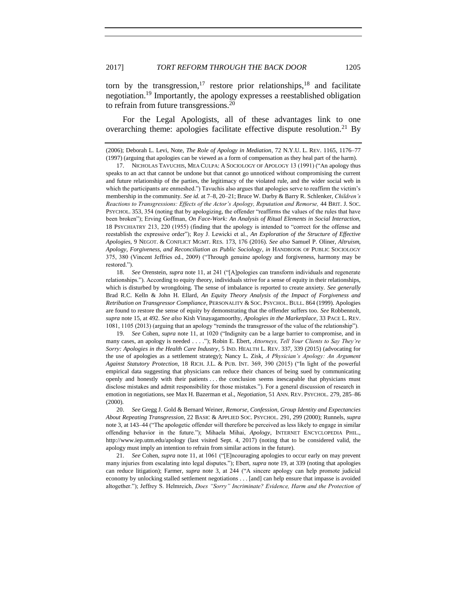<span id="page-6-1"></span><span id="page-6-0"></span>torn by the transgression,<sup>17</sup> restore prior relationships,<sup>18</sup> and facilitate negotiation.<sup>19</sup> Importantly, the apology expresses a reestablished obligation to refrain from future transgressions. $^{20}$ 

<span id="page-6-3"></span><span id="page-6-2"></span>For the Legal Apologists, all of these advantages link to one overarching theme: apologies facilitate effective dispute resolution.<sup>21</sup> By

18. *See* Orenstein, *supra* note [11,](#page-4-2) at 241 ("[A]pologies can transform individuals and regenerate relationships."). According to equity theory, individuals strive for a sense of equity in their relationships, which is disturbed by wrongdoing. The sense of imbalance is reported to create anxiety. *See generally*  Brad R.C. Kelln & John H. Ellard, *An Equity Theory Analysis of the Impact of Forgiveness and Retribution on Transgressor Compliance*, PERSONALITY & SOC. PSYCHOL. BULL. 864 (1999). Apologies are found to restore the sense of equity by demonstrating that the offender suffers too. *See* Robbennolt, *supra* not[e 15,](#page-5-1) at 492. *See also* Kish Vinayagamoorthy, *Apologies in the Marketplace*, 33 PACE L. REV. 1081, 1105 (2013) (arguing that an apology "reminds the transgressor of the value of the relationship").

19. *See* Cohen, *supra* note [11,](#page-4-2) at 1020 ("Indignity can be a large barrier to compromise, and in many cases, an apology is needed . . . ."); Robin E. Ebert, *Attorneys, Tell Your Clients to Say They're Sorry: Apologies in the Health Care Industry*, 5 IND. HEALTH L. REV. 337, 339 (2015) (advocating for the use of apologies as a settlement strategy); Nancy L. Zisk, *A Physician's Apology: An Argument Against Statutory Protection*, 18 RICH. J.L. & PUB. INT. 369, 390 (2015) ("In light of the powerful empirical data suggesting that physicians can reduce their chances of being sued by communicating openly and honestly with their patients . . . the conclusion seems inescapable that physicians must disclose mistakes and admit responsibility for those mistakes."). For a general discussion of research in emotion in negotiations, see Max H. Bazerman et al., *Negotiation*, 51 ANN. REV. PSYCHOL. 279, 285–86 (2000).

20. *See* Gregg J. Gold & Bernard Weiner, *Remorse, Confession, Group Identity and Expectancies About Repeating Transgression*, 22 BASIC & APPLIED SOC. PSYCHOL. 291, 299 (2000); Runnels, *supra*  not[e 3,](#page-2-0) at 143–44 ("The apologetic offender will therefore be perceived as less likely to engage in similar offending behavior in the future."); Mihaela Mihai, *Apology*, INTERNET ENCYCLOPEDIA PHIL., http://www.iep.utm.edu/apology (last visited Sept. 4, 2017) (noting that to be considered valid, the apology must imply an intention to refrain from similar actions in the future).

21. *See* Cohen, *supra* not[e 11,](#page-4-2) at 1061 ("[E]ncouraging apologies to occur early on may prevent many injuries from escalating into legal disputes."); Ebert, *supra* not[e 19,](#page-6-0) at 339 (noting that apologies can reduce litigation); Farmer, *supra* note [3,](#page-2-0) at 244 ("A sincere apology can help promote judicial economy by unlocking stalled settlement negotiations . . . [and] can help ensure that impasse is avoided altogether."); Jeffrey S. Helmreich, *Does "Sorry" Incriminate? Evidence, Harm and the Protection of* 

<sup>(2006);</sup> Deborah L. Levi, Note*, The Role of Apology in Mediation*, 72 N.Y.U. L. REV. 1165, 1176–77 (1997) (arguing that apologies can be viewed as a form of compensation as they heal part of the harm).

<sup>17.</sup> NICHOLAS TAVUCHIS, MEA CULPA: A SOCIOLOGY OF APOLOGY 13 (1991) ("An apology thus speaks to an act that cannot be undone but that cannot go unnoticed without compromising the current and future relationship of the parties, the legitimacy of the violated rule, and the wider social web in which the participants are enmeshed.") Tavuchis also argues that apologies serve to reaffirm the victim's membership in the community. *See id.* at 7–8, 20–21; Bruce W. Darby & Barry R. Schlenker, *Children's Reactions to Transgressions: Effects of the Actor's Apology, Reputation and Remorse,* 44 BRIT. J. SOC. PSYCHOL. 353, 354 (noting that by apologizing, the offender "reaffirms the values of the rules that have been broken"); Erving Goffman, *On Face-Work: An Analysis of Ritual Elements in Social Interaction*, 18 PSYCHIATRY 213, 220 (1955) (finding that the apology is intended to "correct for the offense and reestablish the expressive order"); Roy J. Lewicki et al., *An Exploration of the Structure of Effective Apologies*, 9 NEGOT. & CONFLICT MGMT. RES. 173, 176 (2016). *See also* Samuel P. Oliner, *Altruism, Apology, Forgiveness, and Reconciliation as Public Sociology*, *in* HANDBOOK OF PUBLIC SOCIOLOGY 375, 380 (Vincent Jeffries ed., 2009) ("Through genuine apology and forgiveness, harmony may be restored.").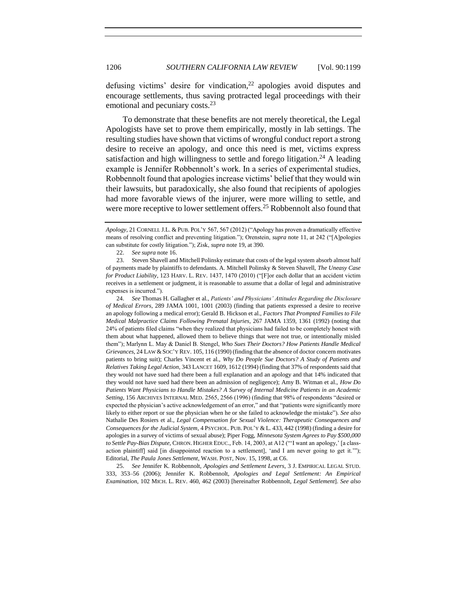defusing victims' desire for vindication, $2<sup>2</sup>$  apologies avoid disputes and encourage settlements, thus saving protracted legal proceedings with their emotional and pecuniary costs.<sup>23</sup>

<span id="page-7-2"></span><span id="page-7-1"></span>To demonstrate that these benefits are not merely theoretical, the Legal Apologists have set to prove them empirically, mostly in lab settings. The resulting studies have shown that victims of wrongful conduct report a strong desire to receive an apology, and once this need is met, victims express satisfaction and high willingness to settle and forego litigation.<sup>24</sup> A leading example is Jennifer Robbennolt's work. In a series of experimental studies, Robbennolt found that apologies increase victims' belief that they would win their lawsuits, but paradoxically, she also found that recipients of apologies had more favorable views of the injurer, were more willing to settle, and were more receptive to lower settlement offers.<sup>25</sup> Robbennolt also found that

<span id="page-7-0"></span>22. *See supra* not[e 16.](#page-5-2)

23. Steven Shavell and Mitchell Polinsky estimate that costs of the legal system absorb almost half of payments made by plaintiffs to defendants. A. Mitchell Polinsky & Steven Shavell, *The Uneasy Case for Product Liability*, 123 HARV. L. REV. 1437, 1470 (2010) ("[F]or each dollar that an accident victim receives in a settlement or judgment, it is reasonable to assume that a dollar of legal and administrative expenses is incurred.").

24. *See* Thomas H. Gallagher et al., *Patients' and Physicians' Attitudes Regarding the Disclosure of Medical Errors*, 289 JAMA 1001, 1001 (2003) (finding that patients expressed a desire to receive an apology following a medical error); Gerald B. Hickson et al., *Factors That Prompted Families to File Medical Malpractice Claims Following Prenatal Injuries*, 267 JAMA 1359, 1361 (1992) (noting that 24% of patients filed claims "when they realized that physicians had failed to be completely honest with them about what happened, allowed them to believe things that were not true, or intentionally misled them"); Marlynn L. May & Daniel B. Stengel, *Who Sues Their Doctors? How Patients Handle Medical Grievances*, 24 LAW &SOC'Y REV. 105, 116 (1990) (finding that the absence of doctor concern motivates patients to bring suit); Charles Vincent et al., *Why Do People Sue Doctors? A Study of Patients and Relatives Taking Legal Action*, 343 LANCET 1609, 1612 (1994) (finding that 37% of respondents said that they would not have sued had there been a full explanation and an apology and that 14% indicated that they would not have sued had there been an admission of negligence); Amy B. Witman et al., *How Do Patients Want Physicians to Handle Mistakes? A Survey of Internal Medicine Patients in an Academic Setting*, 156 ARCHIVES INTERNAL MED. 2565, 2566 (1996) (finding that 98% of respondents "desired or expected the physician's active acknowledgement of an error," and that "patients were significantly more likely to either report or sue the physician when he or she failed to acknowledge the mistake")*. See also*  Nathalie Des Rosiers et al., *Legal Compensation for Sexual Violence: Therapeutic Consequences and Consequences for the Judicial System*, 4 PSYCHOL. PUB. POL'Y & L. 433, 442 (1998) (finding a desire for apologies in a survey of victims of sexual abuse); Piper Fogg, *Minnesota System Agrees to Pay \$500,000 to Settle Pay-Bias Dispute*, CHRON. HIGHER EDUC., Feb. 14, 2003, at A12 ("'I want an apology,' [a classaction plaintiff] said [in disappointed reaction to a settlement], 'and I am never going to get it.'"); Editorial, *The Paula Jones Settlement*, WASH. POST, Nov. 15, 1998, at C6.

25. *See* Jennifer K. Robbennolt, *Apologies and Settlement Levers*, 3 J. EMPIRICAL LEGAL STUD. 333, 353–56 (2006); Jennifer K. Robbennolt, *Apologies and Legal Settlement: An Empirical Examination*, 102 MICH. L. REV. 460, 462 (2003) [hereinafter Robbennolt, *Legal Settlement*]. *See also* 

*Apology*, 21 CORNELL J.L. & PUB. POL'Y 567, 567 (2012) ("Apology has proven a dramatically effective means of resolving conflict and preventing litigation."); Orenstein, *supra* note [11,](#page-4-2) at 242 ("[A]pologies can substitute for costly litigation."); Zisk, *supra* not[e 19,](#page-6-0) at 390.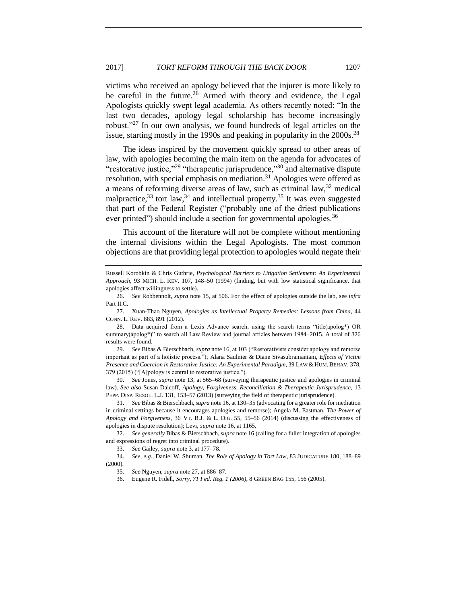victims who received an apology believed that the injurer is more likely to be careful in the future.<sup>26</sup> Armed with theory and evidence, the Legal Apologists quickly swept legal academia. As others recently noted: "In the last two decades, apology legal scholarship has become increasingly robust."<sup>27</sup> In our own analysis, we found hundreds of legal articles on the issue, starting mostly in the 1990s and peaking in popularity in the  $2000s^{28}$ 

<span id="page-8-0"></span>The ideas inspired by the movement quickly spread to other areas of law, with apologies becoming the main item on the agenda for advocates of "restorative justice,"<sup>29</sup> "therapeutic jurisprudence,"<sup>30</sup> and alternative dispute resolution, with special emphasis on mediation.<sup>31</sup> Apologies were offered as a means of reforming diverse areas of law, such as criminal law,<sup>32</sup> medical malpractice,  $33$  tort law,  $34$  and intellectual property.  $35$  It was even suggested that part of the Federal Register ("probably one of the driest publications ever printed") should include a section for governmental apologies.<sup>36</sup>

This account of the literature will not be complete without mentioning the internal divisions within the Legal Apologists. The most common objections are that providing legal protection to apologies would negate their

Russell Korobkin & Chris Guthrie*, Psychological Barriers to Litigation Settlement: An Experimental Approach*, 93 MICH. L. REV. 107, 148–50 (1994) (finding, but with low statistical significance, that apologies affect willingness to settle).

<sup>26.</sup> *See* Robbennolt, *supra* not[e 15,](#page-5-1) at 506. For the effect of apologies outside the lab, see *infra* Part II.C.

<sup>27.</sup> Xuan-Thao Nguyen, *Apologies as Intellectual Property Remedies: Lessons from China*, 44 CONN. L. REV. 883, 891 (2012).

<sup>28.</sup> Data acquired from a Lexis Advance search, using the search terms "title(apolog\*) OR summary(apolog\*)" to search all Law Review and journal articles between 1984–2015. A total of 326 results were found.

<sup>29.</sup> *See* Bibas & Bierschbach, *supra* not[e 16,](#page-5-2) at 103 ("Restorativists consider apology and remorse important as part of a holistic process."); Alana Saulnier & Diane Sivasubramaniam, *Effects of Victim*  Presence and Coercion in Restorative Justice: An Experimental Paradigm, 39 LAW & HUM. BEHAV. 378, 379 (2015) ("[A]pology is central to restorative justice.").

<sup>30.</sup> *See* Jones, *supra* not[e 13,](#page-5-0) at 565–68 (surveying therapeutic justice and apologies in criminal law). *See also* Susan Daicoff, *Apology, Forgiveness, Reconciliation & Therapeutic Jurisprudence*, 13 PEPP. DISP. RESOL. L.J. 131, 153-57 (2013) (surveying the field of therapeutic jurisprudence).

<sup>31.</sup> *See* Bibas & Bierschbach, *supra* not[e 16,](#page-5-2) at 130–35 (advocating for a greater role for mediation in criminal settings because it encourages apologies and remorse); Angela M. Eastman, *The Power of Apology and Forgiveness*, 36 VT. B.J. & L. DIG. 55, 55–56 (2014) (discussing the effectiveness of apologies in dispute resolution); Levi, *supra* not[e 16,](#page-5-2) at 1165.

<sup>32.</sup> *See generally* Bibas & Bierschbach, *supra* not[e 16](#page-5-2) (calling for a fuller integration of apologies and expressions of regret into criminal procedure).

<sup>33.</sup> *See* Gailey, *supra* not[e 3,](#page-2-0) at 177–78.

<sup>34.</sup> *See, e.g.*, Daniel W. Shuman, *The Role of Apology in Tort Law*, 83 JUDICATURE 180, 188–89 (2000).

<sup>35.</sup> *See* Nguyen, *supra* not[e 27,](#page-8-0) at 886–87.

<sup>36.</sup> Eugene R. Fidell, *Sorry, 71 Fed. Reg. 1 (2006)*, 8 GREEN BAG 155, 156 (2005).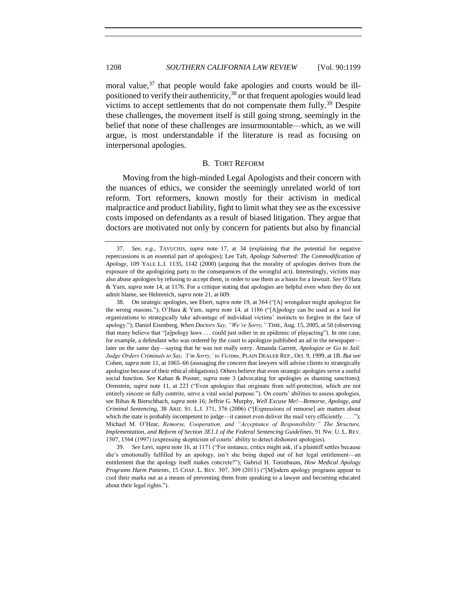<span id="page-9-2"></span>moral value,<sup>37</sup> that people would fake apologies and courts would be illpositioned to verify their authenticity,  $38$  or that frequent apologies would lead victims to accept settlements that do not compensate them  $fully$ <sup>39</sup> Despite these challenges, the movement itself is still going strong, seemingly in the belief that none of these challenges are insurmountable—which, as we will argue, is most understandable if the literature is read as focusing on interpersonal apologies.

# <span id="page-9-3"></span><span id="page-9-1"></span>B. TORT REFORM

<span id="page-9-0"></span>Moving from the high-minded Legal Apologists and their concern with the nuances of ethics, we consider the seemingly unrelated world of tort reform. Tort reformers, known mostly for their activism in medical malpractice and product liability, fight to limit what they see as the excessive costs imposed on defendants as a result of biased litigation. They argue that doctors are motivated not only by concern for patients but also by financial

38. On strategic apologies, see Ebert, *supra* not[e 19,](#page-6-0) at 364 ("[A] wrongdoer might apologize for the wrong reasons."); O'Hara & Yarn, *supra* note [14,](#page-5-3) at 1186 ("[A]pology can be used as a tool for organizations to strategically take advantage of individual victims' instincts to forgive in the face of apology."); Daniel Eisenberg, *When Doctors Say, "We're Sorry,"* TIME, Aug. 15, 2005, at 50 (observing that many believe that "[a]pology laws . . . could just usher in an epidemic of playacting"). In one case, for example, a defendant who was ordered by the court to apologize published an ad in the newspaper later on the same day—saying that he was not really sorry. Amanda Garrett, *Apologize or Go to Jail: Judge Orders Criminals to Say, 'I'm Sorry,' to Victims*, PLAIN DEALER REP., Oct. 9, 1999, at 1B. *But see*  Cohen, *supra* note [11,](#page-4-2) at 1065–66 (assuaging the concern that lawyers will advise clients to strategically apologize because of their ethical obligations). Others believe that even strategic apologies serve a useful social function. *See* Kahan & Posner, *supra* note [3](#page-2-0) (advocating for apologies as shaming sanctions); Orenstein, *supra* note [11,](#page-4-2) at 223 ("Even apologies that originate from self-protection, which are not entirely sincere or fully contrite, serve a vital social purpose."). On courts' abilities to assess apologies, see Bibas & Bierschbach, *supra* note [16;](#page-5-2) Jeffrie G. Murphy, *Well Excuse Me!—Remorse, Apology, and Criminal Sentencing*, 38 ARIZ. ST. L.J. 371, 376 (2006) ("[Expressions of remorse] are matters about which the state is probably incompetent to judge—it cannot even deliver the mail very efficiently  $\dots$ "); Michael M. O'Hear, *Remorse, Cooperation, and "Acceptance of Responsibility:" The Structure, Implementation, and Reform of Section 3E1.1 of the Federal Sentencing Guidelines*, 91 NW. U. L. REV. 1507, 1564 (1997) (expressing skepticism of courts' ability to detect dishonest apologies).

39. *See* Levi, *supra* note [16,](#page-5-2) at 1171 ("For instance, critics might ask, if a plaintiff settles because she's emotionally fulfilled by an apology, isn't she being duped out of her legal entitlement—an entitlement that the apology itself makes concrete?"); Gabriel H. Teninbaum, *How Medical Apology Programs Harm Patients*, 15 CHAP. L. REV. 307, 309 (2011) ("[M]odern apology programs appear to cool their marks out as a means of preventing them from speaking to a lawyer and becoming educated about their legal rights.").

<sup>37.</sup> *See, e.g.*, TAVUCHIS*, supra* note [17,](#page-6-1) at 34 (explaining that the potential for negative repercussions is an essential part of apologies); Lee Taft, *Apology Subverted: The Commodification of Apology*, 109 YALE L.J. 1135, 1142 (2000) (arguing that the morality of apologies derives from the exposure of the apologizing party to the consequences of the wrongful act). Interestingly, victims may also abuse apologies by refusing to accept them, in order to use them as a basis for a lawsuit. *See* O'Hara & Yarn, *supra* not[e 14,](#page-5-3) at 1176. For a critique stating that apologies are helpful even when they do not admit blame, see Helmreich, *supra* not[e 21,](#page-6-2) at 609.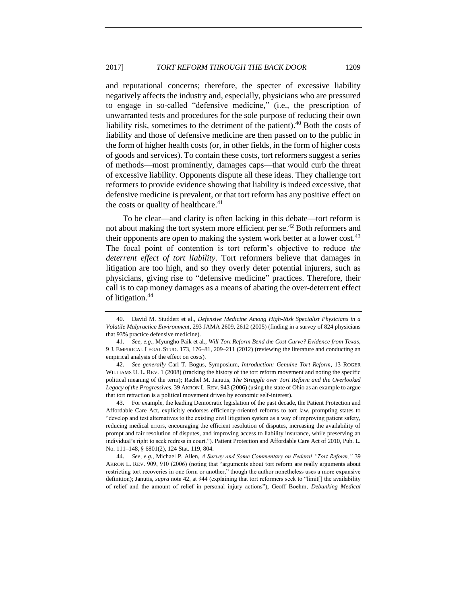and reputational concerns; therefore, the specter of excessive liability negatively affects the industry and, especially, physicians who are pressured to engage in so-called "defensive medicine," (i.e., the prescription of unwarranted tests and procedures for the sole purpose of reducing their own liability risk, sometimes to the detriment of the patient).<sup>40</sup> Both the costs of liability and those of defensive medicine are then passed on to the public in the form of higher health costs (or, in other fields, in the form of higher costs of goods and services). To contain these costs, tort reformers suggest a series of methods—most prominently, damages caps—that would curb the threat of excessive liability. Opponents dispute all these ideas. They challenge tort reformers to provide evidence showing that liability is indeed excessive, that defensive medicine is prevalent, or that tort reform has any positive effect on the costs or quality of healthcare. $41$ 

<span id="page-10-0"></span>To be clear—and clarity is often lacking in this debate—tort reform is not about making the tort system more efficient per se.<sup>42</sup> Both reformers and their opponents are open to making the system work better at a lower cost.<sup>43</sup> The focal point of contention is tort reform's objective to reduce *the deterrent effect of tort liability*. Tort reformers believe that damages in litigation are too high, and so they overly deter potential injurers, such as physicians, giving rise to "defensive medicine" practices. Therefore, their call is to cap money damages as a means of abating the over-deterrent effect of litigation.<sup>44</sup>

42. *See generally* Carl T. Bogus, Symposium, *Introduction: Genuine Tort Reform*, 13 ROGER WILLIAMS U. L. REV. 1 (2008) (tracking the history of the tort reform movement and noting the specific political meaning of the term); Rachel M. Janutis, *The Struggle over Tort Reform and the Overlooked Legacy of the Progressives*, 39 AKRON L. REV. 943 (2006) (using the state of Ohio as an example to argue that tort retraction is a political movement driven by economic self-interest).

43. For example, the leading Democratic legislation of the past decade, the Patient Protection and Affordable Care Act, explicitly endorses efficiency-oriented reforms to tort law, prompting states to "develop and test alternatives to the existing civil litigation system as a way of improving patient safety, reducing medical errors, encouraging the efficient resolution of disputes, increasing the availability of prompt and fair resolution of disputes, and improving access to liability insurance, while preserving an individual's right to seek redress in court."). Patient Protection and Affordable Care Act of 2010, Pub. L. No. 111–148, § 6801(2), 124 Stat. 119, 804.

44. *See, e.g.*, Michael P. Allen, *A Survey and Some Commentary on Federal "Tort Reform,"* 39 AKRON L. REV. 909, 910 (2006) (noting that "arguments about tort reform are really arguments about restricting tort recoveries in one form or another," though the author nonetheless uses a more expansive definition); Janutis, *supra* note [42,](#page-10-0) at 944 (explaining that tort reformers seek to "limit] the availability of relief and the amount of relief in personal injury actions"); Geoff Boehm, *Debunking Medical* 

<sup>40.</sup> David M. Studdert et al., *Defensive Medicine Among High-Risk Specialist Physicians in a Volatile Malpractice Environment*, 293 JAMA 2609, 2612 (2005) (finding in a survey of 824 physicians that 93% practice defensive medicine).

<sup>41.</sup> *See, e.g.*, Myungho Paik et al., *Will Tort Reform Bend the Cost Curve? Evidence from Texas*, 9 J. EMPIRICAL LEGAL STUD. 173, 176–81, 209–211 (2012) (reviewing the literature and conducting an empirical analysis of the effect on costs).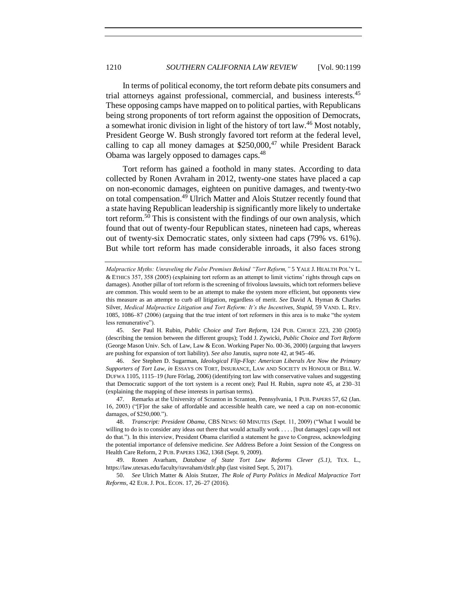<span id="page-11-0"></span>In terms of political economy, the tort reform debate pits consumers and trial attorneys against professional, commercial, and business interests.<sup>45</sup> These opposing camps have mapped on to political parties, with Republicans being strong proponents of tort reform against the opposition of Democrats, a somewhat ironic division in light of the history of tort law.<sup>46</sup> Most notably, President George W. Bush strongly favored tort reform at the federal level, calling to cap all money damages at  $$250,000,47$  while President Barack Obama was largely opposed to damages caps.<sup>48</sup>

Tort reform has gained a foothold in many states. According to data collected by Ronen Avraham in 2012, twenty-one states have placed a cap on non-economic damages, eighteen on punitive damages, and twenty-two on total compensation.<sup>49</sup> Ulrich Matter and Alois Stutzer recently found that a state having Republican leadership is significantly more likely to undertake tort reform.<sup>50</sup> This is consistent with the findings of our own analysis, which found that out of twenty-four Republican states, nineteen had caps, whereas out of twenty-six Democratic states, only sixteen had caps (79% vs. 61%). But while tort reform has made considerable inroads, it also faces strong

45. *See* Paul H. Rubin, *Public Choice and Tort Reform*, 124 PUB. CHOICE 223, 230 (2005) (describing the tension between the different groups); Todd J. Zywicki, *Public Choice and Tort Reform* (George Mason Univ. Sch. of Law, Law & Econ. Working Paper No. 00-36, 2000) (arguing that lawyers are pushing for expansion of tort liability). *See also* Janutis, *supra* not[e 42,](#page-10-0) at 945–46.

46. *See* Stephen D. Sugarman, *Ideological Flip-Flop: American Liberals Are Now the Primary Supporters of Tort Law*, *in* ESSAYS ON TORT, INSURANCE, LAW AND SOCIETY IN HONOUR OF BILL W. DUFWA 1105, 1115–19 (Jure Förlag, 2006) (identifying tort law with conservative values and suggesting that Democratic support of the tort system is a recent one); Paul H. Rubin, *supra* note [45,](#page-11-0) at 230–31 (explaining the mapping of these interests in partisan terms).

47. Remarks at the University of Scranton in Scranton, Pennsylvania, 1 PUB. PAPERS 57, 62 (Jan. 16, 2003) ("[F]or the sake of affordable and accessible health care, we need a cap on non-economic damages, of \$250,000.").

49. Ronen Avarham, *Database of State Tort Law Reforms Clever (5.1)*, TEX. L., https://law.utexas.edu/faculty/ravraham/dstlr.php (last visited Sept. 5, 2017).

50. *See* Ulrich Matter & Alois Stutzer, *The Role of Party Politics in Medical Malpractice Tort Reforms*, 42 EUR. J. POL. ECON. 17, 26–27 (2016).

*Malpractice Myths: Unraveling the False Premises Behind "Tort Reform,"* 5 YALE J. HEALTH POL'Y L. & ETHICS 357, 358 (2005) (explaining tort reform as an attempt to limit victims' rights through caps on damages). Another pillar of tort reform is the screening of frivolous lawsuits, which tort reformers believe are common. This would seem to be an attempt to make the system more efficient, but opponents view this measure as an attempt to curb *all* litigation, regardless of merit. *See* David A. Hyman & Charles Silver, *Medical Malpractice Litigation and Tort Reform: It's the Incentives, Stupid*, 59 VAND. L. REV. 1085, 1086–87 (2006) (arguing that the true intent of tort reformers in this area is to make "the system less remunerative").

<sup>48.</sup> *Transcript: President Obama*, CBS NEWS: 60 MINUTES (Sept. 11, 2009) ("What I would be willing to do is to consider any ideas out there that would actually work . . . . [but damages] caps will not do that."). In this interview, President Obama clarified a statement he gave to Congress, acknowledging the potential importance of defensive medicine. *See* Address Before a Joint Session of the Congress on Health Care Reform, 2 PUB. PAPERS 1362, 1368 (Sept. 9, 2009).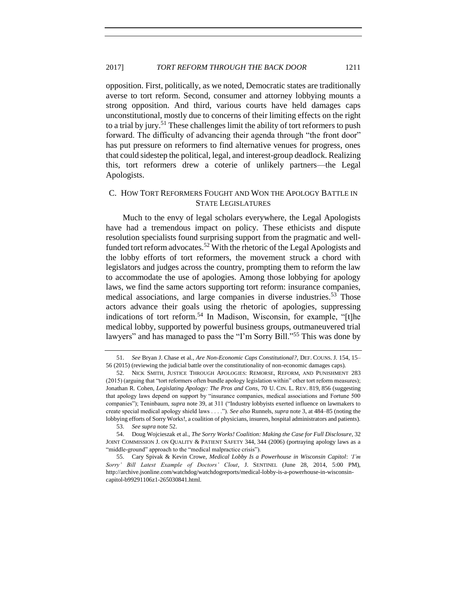opposition. First, politically, as we noted, Democratic states are traditionally averse to tort reform. Second, consumer and attorney lobbying mounts a strong opposition. And third, various courts have held damages caps unconstitutional, mostly due to concerns of their limiting effects on the right to a trial by jury.<sup>51</sup> These challenges limit the ability of tort reformers to push forward. The difficulty of advancing their agenda through "the front door" has put pressure on reformers to find alternative venues for progress, ones that could sidestep the political, legal, and interest-group deadlock. Realizing this, tort reformers drew a coterie of unlikely partners—the Legal Apologists.

# <span id="page-12-0"></span>C. HOW TORT REFORMERS FOUGHT AND WON THE APOLOGY BATTLE IN STATE LEGISLATURES

<span id="page-12-1"></span>Much to the envy of legal scholars everywhere, the Legal Apologists have had a tremendous impact on policy. These ethicists and dispute resolution specialists found surprising support from the pragmatic and wellfunded tort reform advocates.<sup>52</sup> With the rhetoric of the Legal Apologists and the lobby efforts of tort reformers, the movement struck a chord with legislators and judges across the country, prompting them to reform the law to accommodate the use of apologies. Among those lobbying for apology laws, we find the same actors supporting tort reform: insurance companies, medical associations, and large companies in diverse industries.<sup>53</sup> Those actors advance their goals using the rhetoric of apologies, suppressing indications of tort reform.<sup>54</sup> In Madison, Wisconsin, for example, "[t]he medical lobby, supported by powerful business groups, outmaneuvered trial lawyers" and has managed to pass the "I'm Sorry Bill."<sup>55</sup> This was done by

<span id="page-12-2"></span><sup>51.</sup> *See* Bryan J. Chase et al., *Are Non-Economic Caps Constitutional?*, DEF. COUNS. J. 154, 15– 56 (2015) (reviewing the judicial battle over the constitutionality of non-economic damages caps).

<sup>52.</sup> NICK SMITH, JUSTICE THROUGH APOLOGIES: REMORSE, REFORM, AND PUNISHMENT 283 (2015) (arguing that "tort reformers often bundle apology legislation within" other tort reform measures); Jonathan R. Cohen, *Legislating Apology: The Pros and Cons*, 70 U. CIN. L. REV. 819, 856 (suggesting that apology laws depend on support by "insurance companies, medical associations and Fortune 500 companies"); Teninbaum, *supra* note [39,](#page-9-1) at 311 ("Industry lobbyists exerted influence on lawmakers to create special medical apology shield laws . . . ."). *See also* Runnels, *supra* not[e 3,](#page-2-0) at 484–85 (noting the lobbying efforts of Sorry Works!, a coalition of physicians, insurers, hospital administrators and patients).

<sup>53.</sup> *See supra* not[e 52.](#page-12-1)

<sup>54.</sup> Doug Wojcieszak et al., *The Sorry Works! Coalition: Making the Case for Full Disclosure*, 32 JOINT COMMISSION J. ON QUALITY & PATIENT SAFETY 344, 344 (2006) (portraying apology laws as a "middle-ground" approach to the "medical malpractice crisis").

<sup>55.</sup> Cary Spivak & Kevin Crowe, *Medical Lobby Is a Powerhouse in Wisconsin Capitol*: *'I'm Sorry' Bill Latest Example of Doctors' Clout*, J. SENTINEL (June 28, 2014, 5:00 PM), http://archive.jsonline.com/watchdog/watchdogreports/medical-lobby-is-a-powerhouse-in-wisconsincapitol-b99291106z1-265030841.html.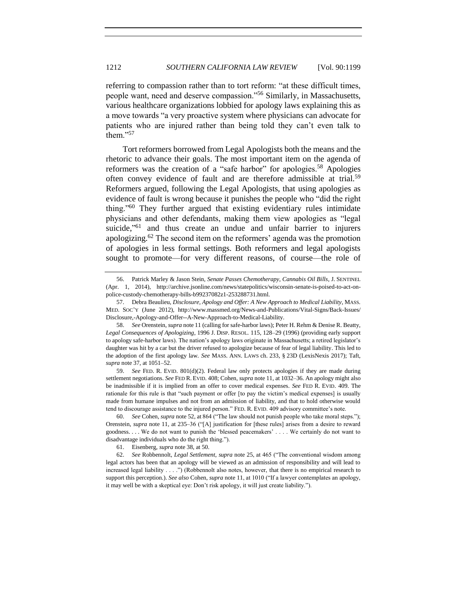referring to compassion rather than to tort reform: "at these difficult times, people want, need and deserve compassion."<sup>56</sup> Similarly, in Massachusetts, various healthcare organizations lobbied for apology laws explaining this as a move towards "a very proactive system where physicians can advocate for patients who are injured rather than being told they can't even talk to them." $57$ 

<span id="page-13-1"></span><span id="page-13-0"></span>Tort reformers borrowed from Legal Apologists both the means and the rhetoric to advance their goals. The most important item on the agenda of reformers was the creation of a "safe harbor" for apologies.<sup>58</sup> Apologies often convey evidence of fault and are therefore admissible at trial.<sup>59</sup> Reformers argued, following the Legal Apologists, that using apologies as evidence of fault is wrong because it punishes the people who "did the right thing."<sup>60</sup> They further argued that existing evidentiary rules intimidate physicians and other defendants, making them view apologies as "legal suicide,<sup>"61</sup> and thus create an undue and unfair barrier to injurers apologizing.<sup>62</sup> The second item on the reformers' agenda was the promotion of apologies in less formal settings. Both reformers and legal apologists sought to promote—for very different reasons, of course—the role of

59. *See* FED. R. EVID. 801(d)(2). Federal law only protects apologies if they are made during settlement negotiations. *See* FED R. EVID. 408; Cohen, *supra* not[e 11,](#page-4-2) at 1032–36. An apology might also be inadmissible if it is implied from an offer to cover medical expenses. *See* FED R. EVID. 409. The rationale for this rule is that "such payment or offer [to pay the victim's medical expenses] is usually made from humane impulses and not from an admission of liability, and that to hold otherwise would tend to discourage assistance to the injured person." FED. R. EVID. 409 advisory committee's note.

60. *See* Cohen, *supra* not[e 52,](#page-12-1) at 864 ("The law should not punish people who take moral steps."); Orenstein, *supra* note [11,](#page-4-2) at 235–36 ("[A] justification for [these rules] arises from a desire to reward goodness. . . . We do not want to punish the 'blessed peacemakers' . . . . We certainly do not want to disadvantage individuals who do the right thing.").

<sup>56.</sup> Patrick Marley & Jason Stein, *Senate Passes Chemotherapy, Cannabis Oil Bills*, J. SENTINEL (Apr. 1, 2014), http://archive.jsonline.com/news/statepolitics/wisconsin-senate-is-poised-to-act-onpolice-custody-chemotherapy-bills-b99237082z1-253288731.html.

<sup>57.</sup> Debra Beaulieu, *Disclosure, Apology and Offer: A New Approach to Medical Liability*, MASS. MED. SOC'Y (June 2012), http://www.massmed.org/News-and-Publications/Vital-Signs/Back-Issues/ Disclosure,-Apology-and-Offer--A-New-Approach-to-Medical-Liability.

<sup>58.</sup> *See* Orenstein, *supra* not[e 11](#page-4-2) (calling for safe-harbor laws); Peter H. Rehm & Denise R. Beatty, *Legal Consequences of Apologizing*, 1996 J. DISP. RESOL. 115, 128–29 (1996) (providing early support to apology safe-harbor laws). The nation's apology laws originate in Massachusetts; a retired legislator's daughter was hit by a car but the driver refused to apologize because of fear of legal liability. This led to the adoption of the first apology law. *See* MASS. ANN. LAWS ch. 233, § 23D (LexisNexis 2017); Taft, *supra* not[e 37,](#page-9-2) at 1051–52.

<sup>61.</sup> Eisenberg, *supra* not[e 38,](#page-9-3) at 50.

<sup>62.</sup> *See* Robbennolt, *Legal Settlement*, *supra* not[e 25,](#page-7-0) at 465 ("The conventional wisdom among legal actors has been that an apology will be viewed as an admission of responsibility and will lead to increased legal liability . . . .") (Robbennolt also notes, however, that there is no empirical research to support this perception.). *See also* Cohen, *supra* not[e 11,](#page-4-2) at 1010 ("If a lawyer contemplates an apology, it may well be with a skeptical eye: Don't risk apology, it will just create liability.").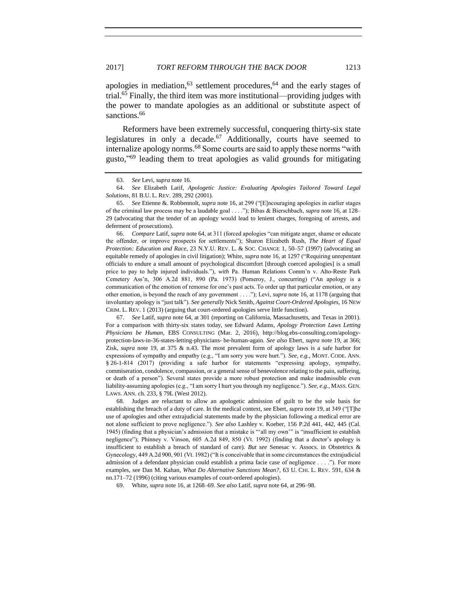<span id="page-14-0"></span>apologies in mediation,  $63$  settlement procedures,  $64$  and the early stages of trial.<sup>65</sup> Finally, the third item was more institutional—providing judges with the power to mandate apologies as an additional or substitute aspect of sanctions.<sup>66</sup>

Reformers have been extremely successful, conquering thirty-six state legislatures in only a decade.<sup>67</sup> Additionally, courts have seemed to internalize apology norms.<sup>68</sup> Some courts are said to apply these norms "with gusto," <sup>69</sup> leading them to treat apologies as valid grounds for mitigating

66. *Compare* Latif, *supra* not[e 64,](#page-14-0) at 311 (forced apologies "can mitigate anger, shame or educate the offender, or improve prospects for settlements"); Sharon Elizabeth Rush, *The Heart of Equal Protection: Education and Race*, 23 N.Y.U. REV. L. & SOC. CHANGE 1, 50–57 (1997) (advocating an equitable remedy of apologies in civil litigation); White, *supra* not[e 16,](#page-5-2) at 1297 ("Requiring unrepentant officials to endure a small amount of psychological discomfort [through coerced apologies] is a small price to pay to help injured individuals."), *with* Pa. Human Relations Comm'n v. Alto-Reste Park Cemetery Ass'n, 306 A.2d 881, 890 (Pa. 1973) (Pomeroy, J., concurring) ("An apology is a communication of the emotion of remorse for one's past acts. To order up that particular emotion, or any other emotion, is beyond the reach of any government . . . ."); Levi, *supra* note [16,](#page-5-2) at 1178 (arguing that involuntary apology is "just talk"). *See generally* Nick Smith, *Against Court-Ordered Apologies*, 16 NEW CRIM. L. REV. 1 (2013) (arguing that court-ordered apologies serve little function).

67. *See* Latif, *supra* not[e 64,](#page-14-0) at 301 (reporting on California, Massachusetts, and Texas in 2001). For a comparison with thirty-six states today, see Edward Adams*, Apology Protection Laws Letting Physicians be Human,* EBS CONSULTING (Mar. 2, 2016), http://blog.ebs-consulting.com/apologyprotection-laws-in-36-states-letting-physicians- be-human-again. *See also* Ebert, *supra* note [19,](#page-6-0) at 366; Zisk, *supra* note [19,](#page-6-0) at 375 & n.43. The most prevalent form of apology laws is a safe harbor for expressions of sympathy and empathy (e.g., "I am sorry you were hurt."). *See, e.g.*, MONT. CODE. ANN. § 26-1-814 (2017) (providing a safe harbor for statements "expressing apology, sympathy, commiseration, condolence, compassion, or a general sense of benevolence relating to the pain, suffering, or death of a person"). Several states provide a more robust protection and make inadmissible even liability-assuming apologies (e.g., "I am sorry I hurt you through my negligence."). *See, e.g.,* MASS. GEN. LAWS. ANN. ch. 233, § 79L (West 2012).

68. Judges are reluctant to allow an apologetic admission of guilt to be the sole basis for establishing the breach of a duty of care. In the medical context, see Ebert, *supra* not[e 19,](#page-6-0) at 349 ("[T]he use of apologies and other extrajudicial statements made by the physician following a medical error are not alone sufficient to prove negligence."). *See also* Lashley v. Koeber, 156 P.2d 441, 442, 445 (Cal. 1945) (finding that a physician's admission that a mistake is "'all my own'" is "insufficient to establish negligence"); Phinney v. Vinson, 605 A.2d 849, 850 (Vt. 1992) (finding that a doctor's apology is insufficient to establish a breach of standard of care). *But see* Senesac v. Assocs. in Obstetrics & Gynecology, 449 A.2d 900, 901 (Vt. 1982) ("It is conceivable that in some circumstances the extrajudicial admission of a defendant physician could establish a prima facie case of negligence . . . ."). For more examples, see Dan M. Kahan, *What Do Alternative Sanctions Mean?*, 63 U. CHI. L. REV. 591, 634 & nn.171–72 (1996) (citing various examples of court-ordered apologies).

69. White, *supra* not[e 16,](#page-5-2) at 1268–69. *See also* Latif, *supra* not[e 64,](#page-14-0) at 296–98.

<sup>63.</sup> *See* Levi, *supra* note [16.](#page-5-2)

<sup>64.</sup> *See* Elizabeth Latif, *Apologetic Justice: Evaluating Apologies Tailored Toward Legal Solutions*, 81 B.U. L. REV. 289, 292 (2001).

<sup>65.</sup> *See* Etienne &. Robbennolt, *supra* note [16,](#page-5-2) at 299 ("[E]ncouraging apologies in earlier stages of the criminal law process may be a laudable goal . . . ."); Bibas & Bierschbach, *supra* not[e 16,](#page-5-2) at 128– 29 (advocating that the tender of an apology would lead to lenient charges, foregoing of arrests, and deferment of prosecutions).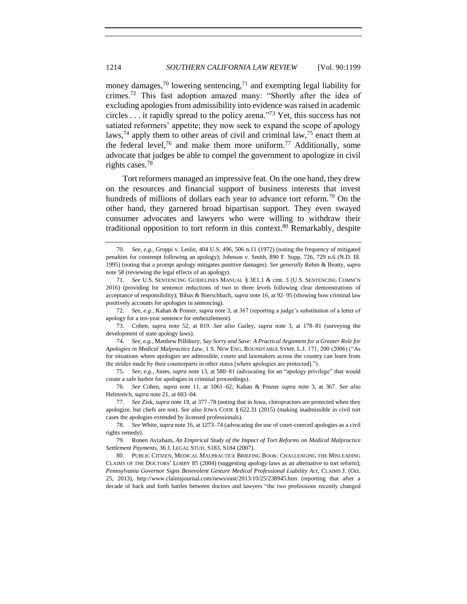money damages,<sup>70</sup> lowering sentencing,<sup>71</sup> and exempting legal liability for crimes.<sup>72</sup> This fast adoption amazed many: "Shortly after the idea of excluding apologies from admissibility into evidence was raised in academic circles . . . it rapidly spread to the policy arena." <sup>73</sup> Yet, this success has not satiated reformers' appetite; they now seek to expand the scope of apology laws,<sup>74</sup> apply them to other areas of civil and criminal law,<sup>75</sup> enact them at the federal level,<sup>76</sup> and make them more uniform.<sup>77</sup> Additionally, some advocate that judges be able to compel the government to apologize in civil rights cases.<sup>78</sup>

<span id="page-15-0"></span>Tort reformers managed an impressive feat. On the one hand, they drew on the resources and financial support of business interests that invest hundreds of millions of dollars each year to advance tort reform.<sup>79</sup> On the other hand, they garnered broad bipartisan support. They even swayed consumer advocates and lawyers who were willing to withdraw their traditional opposition to tort reform in this context.<sup>80</sup> Remarkably, despite

<sup>70.</sup> *See, e.g.*, Groppi v. Leslie, 404 U.S. 496, 506 n.11 (1972) (noting the frequency of mitigated penalties for contempt following an apology); Johnson v. Smith, 890 F. Supp. 726, 729 n.6 (N.D. Ill. 1995) (noting that a prompt apology mitigates punitive damages). *See generally* Rehm & Beatty, *supra* note [58](#page-13-0) (reviewing the legal effects of an apology).

<sup>71.</sup> *See* U.S. SENTENCING GUIDELINES MANUAL § 3E1.1 & cmt. 3 (U.S. SENTENCING COMM'N 2016) (providing for sentence reductions of two to three levels following clear demonstrations of acceptance of responsibility); Bibas & Bierschbach, *supra* not[e 16,](#page-5-2) at 92–95 (showing how criminal law positively accounts for apologies in sentencing).

<sup>72.</sup> *See, e.g.*, Kahan & Posner, *supra* note [3,](#page-2-0) at 367 (reporting a judge's substitution of a letter of apology for a ten-year sentence for embezzlement).

<sup>73.</sup> Cohen, *supra* note [52,](#page-12-1) at 819. *See also* Gailey, *supra* note [3,](#page-2-0) at 178–81 (surveying the development of state apology laws).

<sup>74.</sup> *See, e.g.*, Matthew Pillsbury, *Say Sorry and Save: A Practical Argument for a Greater Role for Apologies in Medical Malpractice Law*, 1 S. NEW ENG. ROUNDTABLE SYMP. L.J. 171, 200 (2006) ("As for situations where apologies are admissible, courts and lawmakers across the country can learn from the strides made by their counterparts in other states [where apologies are protected].").

<sup>75.</sup> *See, e.g.*, Jones, *supra* not[e 13,](#page-5-0) at 580–81 (advocating for an "apology privilege" that would create a safe harbor for apologies in criminal proceedings).

<sup>76.</sup> *See* Cohen, *supra* note [11,](#page-4-2) at 1061–62; Kahan & Posner *supra* note [3,](#page-2-0) at 367. *See also*  Helmreich, *supra* note [21,](#page-6-2) at 603–04.

<sup>77.</sup> *See* Zisk, *supra* not[e 19,](#page-6-0) at 377–78 (noting that in Iowa, chiropractors are protected when they apologize, but chefs are not). *See also* IOWA CODE § 622.31 (2015) (making inadmissible in civil tort cases the apologies extended by licensed professionals).

<sup>78.</sup> *See* White, *supra* not[e 16,](#page-5-2) at 1273–74 (advocating the use of court-coerced apologies as a civil rights remedy).

<sup>79.</sup> Ronen Avraham, *An Empirical Study of the Impact of Tort Reforms on Medical Malpractice Settlement Payments*, 36 J. LEGAL STUD. S183, S184 (2007).

<sup>80.</sup> PUBLIC CITIZEN, MEDICAL MALPRACTICE BRIEFING BOOK: CHALLENGING THE MISLEADING CLAIMS OF THE DOCTORS' LOBBY 85 (2004) (suggesting apology laws as an alternative to tort reform); *Pennsylvania Governor Signs Benevolent Gesture Medical Professional Liability Act*, CLAIMS J. (Oct. 25, 2013), http://www.claimsjournal.com/news/east/2013/10/25/238945.htm (reporting that after a decade of back and forth battles between doctors and lawyers "the two professions recently changed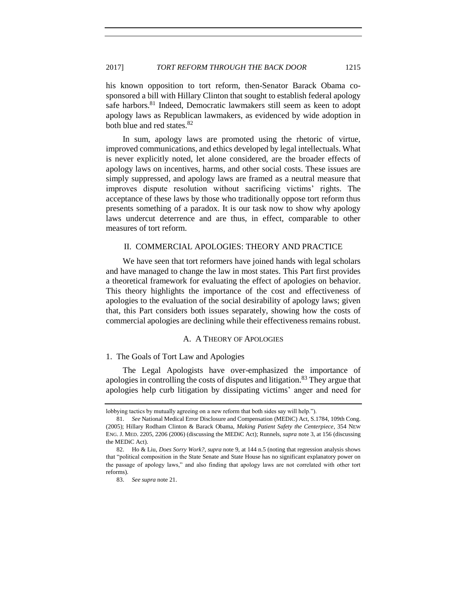<span id="page-16-3"></span>his known opposition to tort reform, then-Senator Barack Obama cosponsored a bill with Hillary Clinton that sought to establish federal apology safe harbors.<sup>81</sup> Indeed, Democratic lawmakers still seem as keen to adopt apology laws as Republican lawmakers, as evidenced by wide adoption in both blue and red states.<sup>82</sup>

In sum, apology laws are promoted using the rhetoric of virtue, improved communications, and ethics developed by legal intellectuals. What is never explicitly noted, let alone considered, are the broader effects of apology laws on incentives, harms, and other social costs. These issues are simply suppressed, and apology laws are framed as a neutral measure that improves dispute resolution without sacrificing victims' rights. The acceptance of these laws by those who traditionally oppose tort reform thus presents something of a paradox. It is our task now to show why apology laws undercut deterrence and are thus, in effect, comparable to other measures of tort reform.

# <span id="page-16-0"></span>II. COMMERCIAL APOLOGIES: THEORY AND PRACTICE

We have seen that tort reformers have joined hands with legal scholars and have managed to change the law in most states. This Part first provides a theoretical framework for evaluating the effect of apologies on behavior. This theory highlights the importance of the cost and effectiveness of apologies to the evaluation of the social desirability of apology laws; given that, this Part considers both issues separately, showing how the costs of commercial apologies are declining while their effectiveness remains robust.

# A. A THEORY OF APOLOGIES

# <span id="page-16-2"></span><span id="page-16-1"></span>1. The Goals of Tort Law and Apologies

The Legal Apologists have over-emphasized the importance of apologies in controlling the costs of disputes and litigation.<sup>83</sup> They argue that apologies help curb litigation by dissipating victims' anger and need for

lobbying tactics by mutually agreeing on a new reform that both sides say will help.").

<sup>81.</sup> *See* National Medical Error Disclosure and Compensation (MEDiC) Act, S.1784, 109th Cong. (2005); Hillary Rodham Clinton & Barack Obama, *Making Patient Safety the Centerpiece*, 354 NEW ENG. J. MED. 2205, 2206 (2006) (discussing the MEDiC Act); Runnels, *supra* not[e 3,](#page-2-0) at 156 (discussing the MEDiC Act).

<sup>82.</sup> Ho & Liu, *Does Sorry Work?*, *supra* not[e 9,](#page-3-0) at 144 n.5 (noting that regression analysis shows that "political composition in the State Senate and State House has no significant explanatory power on the passage of apology laws," and also finding that apology laws are not correlated with other tort reforms).

<sup>83.</sup> *See supra* not[e 21.](#page-6-2)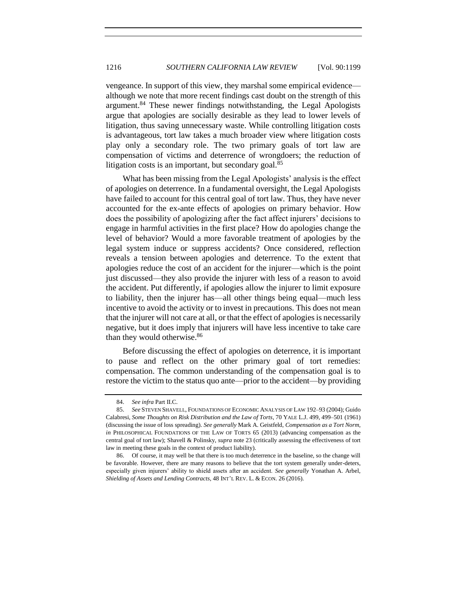vengeance. In support of this view, they marshal some empirical evidence although we note that more recent findings cast doubt on the strength of this argument.<sup>84</sup> These newer findings notwithstanding, the Legal Apologists argue that apologies are socially desirable as they lead to lower levels of litigation, thus saving unnecessary waste. While controlling litigation costs is advantageous, tort law takes a much broader view where litigation costs play only a secondary role. The two primary goals of tort law are compensation of victims and deterrence of wrongdoers; the reduction of litigation costs is an important, but secondary goal. $85$ 

What has been missing from the Legal Apologists' analysis is the effect of apologies on deterrence. In a fundamental oversight, the Legal Apologists have failed to account for this central goal of tort law. Thus, they have never accounted for the ex-ante effects of apologies on primary behavior. How does the possibility of apologizing after the fact affect injurers' decisions to engage in harmful activities in the first place? How do apologies change the level of behavior? Would a more favorable treatment of apologies by the legal system induce or suppress accidents? Once considered, reflection reveals a tension between apologies and deterrence. To the extent that apologies reduce the cost of an accident for the injurer—which is the point just discussed—they also provide the injurer with less of a reason to avoid the accident. Put differently, if apologies allow the injurer to limit exposure to liability, then the injurer has—all other things being equal—much less incentive to avoid the activity or to invest in precautions. This does not mean that the injurer will not care at all, or that the effect of apologies is necessarily negative, but it does imply that injurers will have less incentive to take care than they would otherwise.<sup>86</sup>

Before discussing the effect of apologies on deterrence, it is important to pause and reflect on the other primary goal of tort remedies: compensation. The common understanding of the compensation goal is to restore the victim to the status quo ante—prior to the accident—by providing

<sup>84.</sup> *See infra* Part II.C.

<sup>85.</sup> *See* STEVEN SHAVELL, FOUNDATIONS OF ECONOMIC ANALYSIS OF LAW 192–93 (2004); Guido Calabresi, *Some Thoughts on Risk Distribution and the Law of Torts*, 70 YALE L.J. 499, 499–501 (1961) (discussing the issue of loss spreading). *See generally* Mark A. Geistfeld, *Compensation as a Tort Norm*, *in* PHILOSOPHICAL FOUNDATIONS OF THE LAW OF TORTS 65 (2013) (advancing compensation as the central goal of tort law); Shavell & Polinsky, *supra* not[e 23](#page-7-1) (critically assessing the effectiveness of tort law in meeting these goals in the context of product liability).

<sup>86.</sup> Of course, it may well be that there is too much deterrence in the baseline, so the change will be favorable. However, there are many reasons to believe that the tort system generally under-deters, especially given injurers' ability to shield assets after an accident. *See generally* Yonathan A. Arbel, *Shielding of Assets and Lending Contracts*, 48 INT'L REV. L. & ECON. 26 (2016).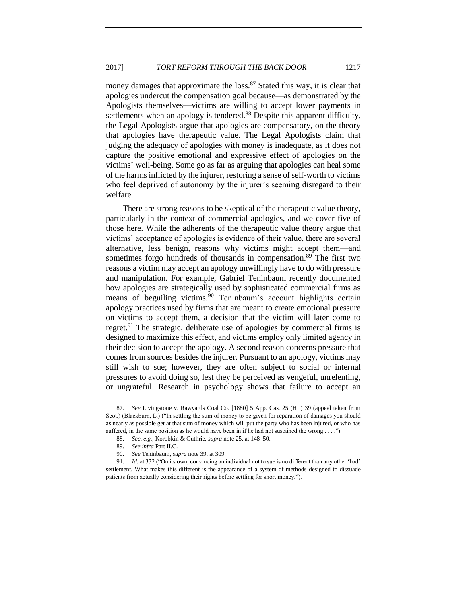money damages that approximate the loss.<sup>87</sup> Stated this way, it is clear that apologies undercut the compensation goal because—as demonstrated by the Apologists themselves—victims are willing to accept lower payments in settlements when an apology is tendered.<sup>88</sup> Despite this apparent difficulty, the Legal Apologists argue that apologies are compensatory, on the theory that apologies have therapeutic value. The Legal Apologists claim that judging the adequacy of apologies with money is inadequate, as it does not capture the positive emotional and expressive effect of apologies on the victims' well-being. Some go as far as arguing that apologies can heal some of the harms inflicted by the injurer, restoring a sense of self-worth to victims who feel deprived of autonomy by the injurer's seeming disregard to their welfare.

There are strong reasons to be skeptical of the therapeutic value theory, particularly in the context of commercial apologies, and we cover five of those here. While the adherents of the therapeutic value theory argue that victims' acceptance of apologies is evidence of their value, there are several alternative, less benign, reasons why victims might accept them—and sometimes forgo hundreds of thousands in compensation.<sup>89</sup> The first two reasons a victim may accept an apology unwillingly have to do with pressure and manipulation. For example, Gabriel Teninbaum recently documented how apologies are strategically used by sophisticated commercial firms as means of beguiling victims.<sup>90</sup> Teninbaum's account highlights certain apology practices used by firms that are meant to create emotional pressure on victims to accept them, a decision that the victim will later come to regret.<sup>91</sup> The strategic, deliberate use of apologies by commercial firms is designed to maximize this effect, and victims employ only limited agency in their decision to accept the apology. A second reason concerns pressure that comes from sources besides the injurer. Pursuant to an apology, victims may still wish to sue; however, they are often subject to social or internal pressures to avoid doing so, lest they be perceived as vengeful, unrelenting, or ungrateful. Research in psychology shows that failure to accept an

<sup>87.</sup> *See* Livingstone v. Rawyards Coal Co. [1880] 5 App. Cas. 25 (HL) 39 (appeal taken from Scot.) (Blackburn, L.) ("In settling the sum of money to be given for reparation of damages you should as nearly as possible get at that sum of money which will put the party who has been injured, or who has suffered, in the same position as he would have been in if he had not sustained the wrong  $\dots$ .").

<sup>88.</sup> *See, e.g.*, Korobkin & Guthrie, *supra* not[e 25,](#page-7-0) at 148–50.

<sup>89.</sup> *See infra* Part II.C.

<sup>90.</sup> *See* Teninbaum, *supra* not[e 39,](#page-9-1) at 309.

<sup>91.</sup> *Id.* at 332 ("On its own, convincing an individual not to sue is no different than any other 'bad' settlement. What makes this different is the appearance of a system of methods designed to dissuade patients from actually considering their rights before settling for short money.").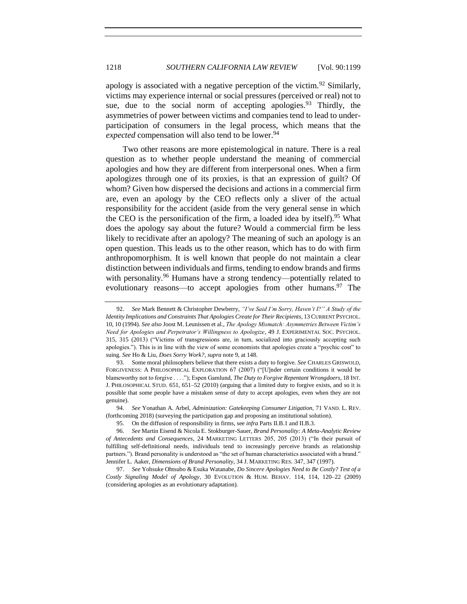apology is associated with a negative perception of the victim.<sup>92</sup> Similarly, victims may experience internal or social pressures (perceived or real) not to sue, due to the social norm of accepting apologies.<sup>93</sup> Thirdly, the asymmetries of power between victims and companies tend to lead to underparticipation of consumers in the legal process, which means that the *expected* compensation will also tend to be lower.<sup>94</sup>

Two other reasons are more epistemological in nature. There is a real question as to whether people understand the meaning of commercial apologies and how they are different from interpersonal ones. When a firm apologizes through one of its proxies, is that an expression of guilt? Of whom? Given how dispersed the decisions and actions in a commercial firm are, even an apology by the CEO reflects only a sliver of the actual responsibility for the accident (aside from the very general sense in which the CEO is the personification of the firm, a loaded idea by itself).<sup>95</sup> What does the apology say about the future? Would a commercial firm be less likely to recidivate after an apology? The meaning of such an apology is an open question. This leads us to the other reason, which has to do with firm anthropomorphism. It is well known that people do not maintain a clear distinction between individuals and firms, tending to endow brands and firms with personality.<sup>96</sup> Humans have a strong tendency—potentially related to evolutionary reasons—to accept apologies from other humans.<sup>97</sup> The

<sup>92.</sup> *See* Mark Bennett & Christopher Dewberry, *"I've Said I'm Sorry, Haven't I?" A Study of the Identity Implications and Constraints That Apologies Create for Their Recipients*, 13 CURRENT PSYCHOL. 10, 10 (1994). *See also* Joost M. Leunissen et al., *The Apology Mismatch: Asymmetries Between Victim's Need for Apologies and Perpetrator's Willingness to Apologize*, 49 J. EXPERIMENTAL SOC. PSYCHOL. 315, 315 (2013) ("Victims of transgressions are, in turn, socialized into graciously accepting such apologies."). This is in line with the view of some economists that apologies create a "psychic cost" to suing. *See* Ho & Liu, *Does Sorry Work?*, *supra* not[e 9,](#page-3-0) at 148.

<sup>93.</sup> Some moral philosophers believe that there exists a duty to forgive. *See* CHARLES GRISWOLD, FORGIVENESS: A PHILOSOPHICAL EXPLORATION 67 (2007) ("[U]nder certain conditions it would be blameworthy not to forgive . . . ."); Espen Gamlund, *The Duty to Forgive Repentant Wrongdoers*, 18 INT. J. PHILOSOPHICAL STUD. 651, 651–52 (2010) (arguing that a limited duty to forgive exists, and so it is possible that some people have a mistaken sense of duty to accept apologies, even when they are not genuine).

<sup>94.</sup> *See* Yonathan A. Arbel, *Adminization: Gatekeeping Consumer Litigation,* 71 VAND. L. REV. (forthcoming 2018) (surveying the participation gap and proposing an institutional solution).

<sup>95.</sup> On the diffusion of responsibility in firms, see *infra* Parts II.B.1 and II.B.3.

<sup>96.</sup> *See* Martin Eisend & Nicola E. Stokburger-Sauer, *Brand Personality: A Meta-Analytic Review of Antecedents and Consequences*, 24 MARKETING LETTERS 205, 205 (2013) ("In their pursuit of fulfilling self-definitional needs, individuals tend to increasingly perceive brands as relationship partners."). Brand personality is understood as "the set of human characteristics associated with a brand." Jennifer L. Aaker, *Dimensions of Brand Personality*, 34 J. MARKETING RES. 347, 347 (1997).

<sup>97.</sup> *See* Yohsuke Ohtsubo & Esuka Watanabe, *Do Sincere Apologies Need to Be Costly? Test of a Costly Signaling Model of Apology*, 30 EVOLUTION & HUM. BEHAV. 114, 114, 120–22 (2009) (considering apologies as an evolutionary adaptation).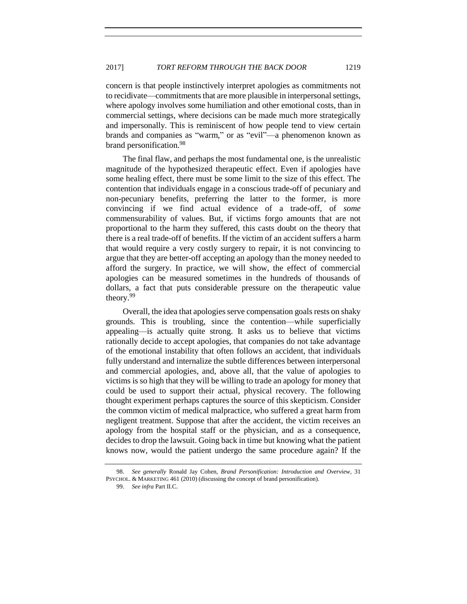concern is that people instinctively interpret apologies as commitments not to recidivate—commitments that are more plausible in interpersonal settings, where apology involves some humiliation and other emotional costs, than in commercial settings, where decisions can be made much more strategically and impersonally. This is reminiscent of how people tend to view certain brands and companies as "warm," or as "evil"—a phenomenon known as brand personification.<sup>98</sup>

The final flaw, and perhaps the most fundamental one, is the unrealistic magnitude of the hypothesized therapeutic effect. Even if apologies have some healing effect, there must be some limit to the size of this effect. The contention that individuals engage in a conscious trade-off of pecuniary and non-pecuniary benefits, preferring the latter to the former, is more convincing if we find actual evidence of a trade-off, of *some*  commensurability of values. But, if victims forgo amounts that are not proportional to the harm they suffered, this casts doubt on the theory that there is a real trade-off of benefits. If the victim of an accident suffers a harm that would require a very costly surgery to repair, it is not convincing to argue that they are better-off accepting an apology than the money needed to afford the surgery. In practice, we will show, the effect of commercial apologies can be measured sometimes in the hundreds of thousands of dollars, a fact that puts considerable pressure on the therapeutic value theory.<sup>99</sup>

Overall, the idea that apologies serve compensation goals rests on shaky grounds. This is troubling, since the contention—while superficially appealing—is actually quite strong. It asks us to believe that victims rationally decide to accept apologies, that companies do not take advantage of the emotional instability that often follows an accident, that individuals fully understand and internalize the subtle differences between interpersonal and commercial apologies, and, above all, that the value of apologies to victims is so high that they will be willing to trade an apology for money that could be used to support their actual, physical recovery. The following thought experiment perhaps captures the source of this skepticism. Consider the common victim of medical malpractice, who suffered a great harm from negligent treatment. Suppose that after the accident, the victim receives an apology from the hospital staff or the physician, and as a consequence, decides to drop the lawsuit. Going back in time but knowing what the patient knows now, would the patient undergo the same procedure again? If the

<sup>98.</sup> *See generally* Ronald Jay Cohen, *Brand Personification: Introduction and Overview*, 31 PSYCHOL. & MARKETING 461 (2010) (discussing the concept of brand personification).

<sup>99.</sup> *See infra* Part II.C.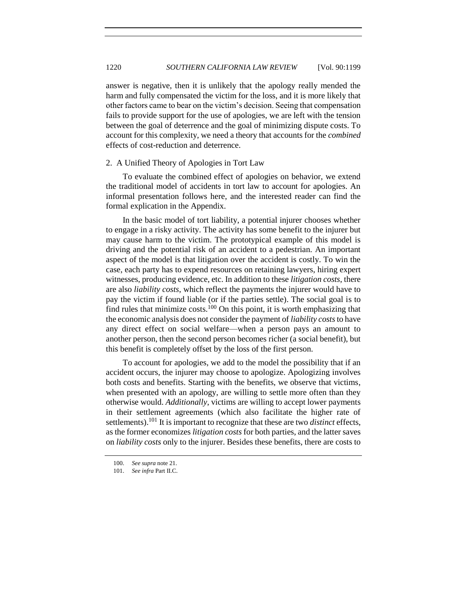answer is negative, then it is unlikely that the apology really mended the harm and fully compensated the victim for the loss, and it is more likely that other factors came to bear on the victim's decision. Seeing that compensation fails to provide support for the use of apologies, we are left with the tension between the goal of deterrence and the goal of minimizing dispute costs. To account for this complexity, we need a theory that accounts for the *combined* effects of cost-reduction and deterrence.

# <span id="page-21-0"></span>2. A Unified Theory of Apologies in Tort Law

To evaluate the combined effect of apologies on behavior, we extend the traditional model of accidents in tort law to account for apologies. An informal presentation follows here, and the interested reader can find the formal explication in the Appendix.

In the basic model of tort liability, a potential injurer chooses whether to engage in a risky activity. The activity has some benefit to the injurer but may cause harm to the victim. The prototypical example of this model is driving and the potential risk of an accident to a pedestrian. An important aspect of the model is that litigation over the accident is costly. To win the case, each party has to expend resources on retaining lawyers, hiring expert witnesses, producing evidence, etc. In addition to these *litigation costs*, there are also *liability costs*, which reflect the payments the injurer would have to pay the victim if found liable (or if the parties settle). The social goal is to find rules that minimize costs.<sup>100</sup> On this point, it is worth emphasizing that the economic analysis does not consider the payment of *liability costs*to have any direct effect on social welfare—when a person pays an amount to another person, then the second person becomes richer (a social benefit), but this benefit is completely offset by the loss of the first person.

To account for apologies, we add to the model the possibility that if an accident occurs, the injurer may choose to apologize. Apologizing involves both costs and benefits. Starting with the benefits, we observe that victims, when presented with an apology, are willing to settle more often than they otherwise would. *Additionally*, victims are willing to accept lower payments in their settlement agreements (which also facilitate the higher rate of settlements).<sup>101</sup> It is important to recognize that these are two *distinct* effects, as the former economizes *litigation costs* for both parties, and the latter saves on *liability costs* only to the injurer. Besides these benefits, there are costs to

<sup>100.</sup> *See supra* not[e 21.](#page-6-2)

<sup>101.</sup> *See infra* Part II.C.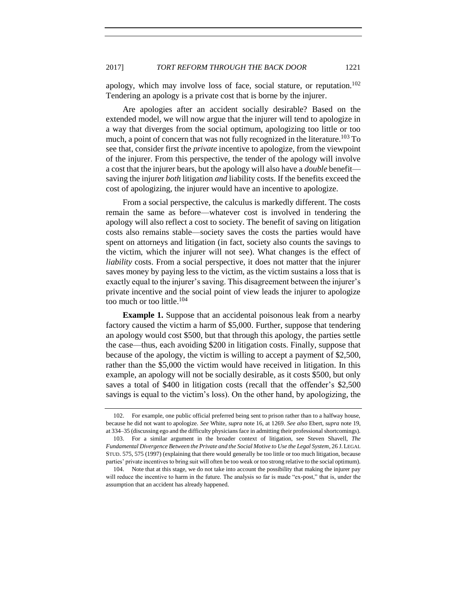apology, which may involve loss of face, social stature, or reputation.<sup>102</sup> Tendering an apology is a private cost that is borne by the injurer.

Are apologies after an accident socially desirable? Based on the extended model, we will now argue that the injurer will tend to apologize in a way that diverges from the social optimum, apologizing too little or too much, a point of concern that was not fully recognized in the literature.<sup>103</sup> To see that, consider first the *private* incentive to apologize, from the viewpoint of the injurer. From this perspective, the tender of the apology will involve a cost that the injurer bears, but the apology will also have a *double* benefit saving the injurer *both* litigation *and* liability costs. If the benefits exceed the cost of apologizing, the injurer would have an incentive to apologize.

From a social perspective, the calculus is markedly different. The costs remain the same as before—whatever cost is involved in tendering the apology will also reflect a cost to society. The benefit of saving on litigation costs also remains stable—society saves the costs the parties would have spent on attorneys and litigation (in fact, society also counts the savings to the victim, which the injurer will not see). What changes is the effect of *liability* costs. From a social perspective, it does not matter that the injurer saves money by paying less to the victim, as the victim sustains a loss that is exactly equal to the injurer's saving. This disagreement between the injurer's private incentive and the social point of view leads the injurer to apologize too much or too little.<sup>104</sup>

**Example 1.** Suppose that an accidental poisonous leak from a nearby factory caused the victim a harm of \$5,000. Further, suppose that tendering an apology would cost \$500, but that through this apology, the parties settle the case—thus, each avoiding \$200 in litigation costs. Finally, suppose that because of the apology, the victim is willing to accept a payment of \$2,500, rather than the \$5,000 the victim would have received in litigation. In this example, an apology will not be socially desirable, as it costs \$500, but only saves a total of \$400 in litigation costs (recall that the offender's \$2,500 savings is equal to the victim's loss). On the other hand, by apologizing, the

<sup>102.</sup> For example, one public official preferred being sent to prison rather than to a halfway house, because he did not want to apologize. *See* White, *supra* note [16,](#page-5-2) at 1269. *See also* Ebert, *supra* not[e 19,](#page-6-0)  at 334–35 (discussing ego and the difficulty physicians face in admitting their professional shortcomings).

<sup>103.</sup> For a similar argument in the broader context of litigation, see Steven Shavell, *The Fundamental Divergence Between the Private and the Social Motive to Use the Legal System*, 26 J. LEGAL STUD. 575, 575 (1997) (explaining that there would generally be too little or too much litigation, because parties' private incentives to bring suit will often be too weak or too strong relative to the social optimum).

<sup>104.</sup> Note that at this stage, we do not take into account the possibility that making the injurer pay will reduce the incentive to harm in the future. The analysis so far is made "ex-post," that is, under the assumption that an accident has already happened.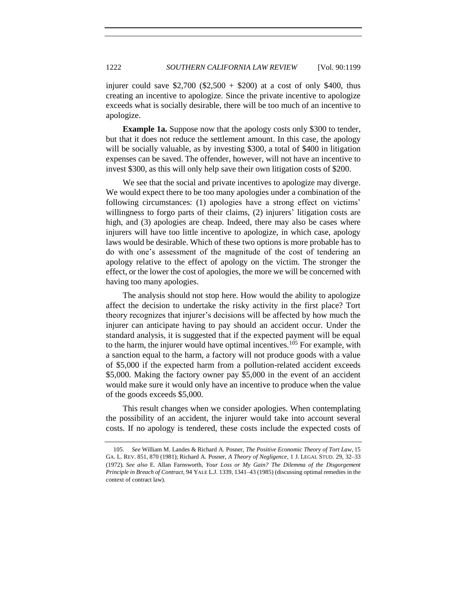injurer could save \$2,700 (\$2,500 + \$200) at a cost of only \$400, thus creating an incentive to apologize. Since the private incentive to apologize exceeds what is socially desirable, there will be too much of an incentive to apologize.

**Example 1a.** Suppose now that the apology costs only \$300 to tender, but that it does not reduce the settlement amount. In this case, the apology will be socially valuable, as by investing \$300, a total of \$400 in litigation expenses can be saved. The offender, however, will not have an incentive to invest \$300, as this will only help save their own litigation costs of \$200.

We see that the social and private incentives to apologize may diverge. We would expect there to be too many apologies under a combination of the following circumstances: (1) apologies have a strong effect on victims' willingness to forgo parts of their claims, (2) injurers' litigation costs are high, and (3) apologies are cheap. Indeed, there may also be cases where injurers will have too little incentive to apologize, in which case, apology laws would be desirable. Which of these two options is more probable has to do with one's assessment of the magnitude of the cost of tendering an apology relative to the effect of apology on the victim. The stronger the effect, or the lower the cost of apologies, the more we will be concerned with having too many apologies.

The analysis should not stop here. How would the ability to apologize affect the decision to undertake the risky activity in the first place? Tort theory recognizes that injurer's decisions will be affected by how much the injurer can anticipate having to pay should an accident occur. Under the standard analysis, it is suggested that if the expected payment will be equal to the harm, the injurer would have optimal incentives.<sup>105</sup> For example, with a sanction equal to the harm, a factory will not produce goods with a value of \$5,000 if the expected harm from a pollution-related accident exceeds \$5,000. Making the factory owner pay \$5,000 in the event of an accident would make sure it would only have an incentive to produce when the value of the goods exceeds \$5,000.

This result changes when we consider apologies. When contemplating the possibility of an accident, the injurer would take into account several costs. If no apology is tendered, these costs include the expected costs of

<sup>105.</sup> *See* William M. Landes & Richard A. Posner, *The Positive Economic Theory of Tort Law*, 15 GA. L. REV. 851, 870 (1981); Richard A. Posner, *A Theory of Negligence*, 1 J. LEGAL STUD. 29, 32–33 (1972). *See also* E. Allan Farnsworth, *Your Loss or My Gain? The Dilemma of the Disgorgement Principle in Breach of Contract*, 94 YALE L.J. 1339, 1341–43 (1985) (discussing optimal remedies in the context of contract law).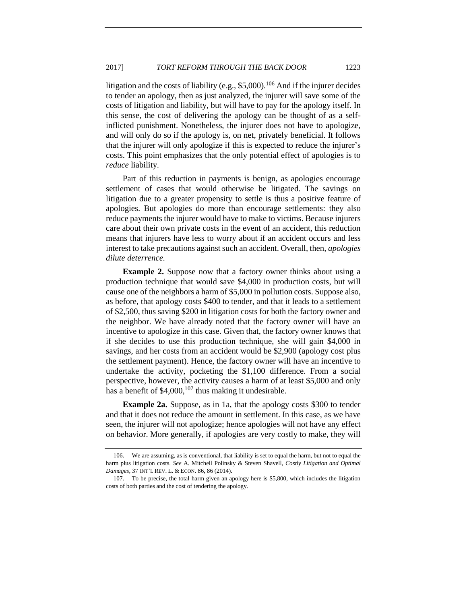litigation and the costs of liability (e.g.,  $$5,000$ ).<sup>106</sup> And if the injurer decides to tender an apology, then as just analyzed, the injurer will save some of the costs of litigation and liability, but will have to pay for the apology itself. In this sense, the cost of delivering the apology can be thought of as a selfinflicted punishment. Nonetheless, the injurer does not have to apologize, and will only do so if the apology is, on net, privately beneficial. It follows that the injurer will only apologize if this is expected to reduce the injurer's costs. This point emphasizes that the only potential effect of apologies is to *reduce* liability.

Part of this reduction in payments is benign, as apologies encourage settlement of cases that would otherwise be litigated. The savings on litigation due to a greater propensity to settle is thus a positive feature of apologies. But apologies do more than encourage settlements: they also reduce payments the injurer would have to make to victims. Because injurers care about their own private costs in the event of an accident, this reduction means that injurers have less to worry about if an accident occurs and less interest to take precautions against such an accident. Overall, then, *apologies dilute deterrence.*

**Example 2.** Suppose now that a factory owner thinks about using a production technique that would save \$4,000 in production costs, but will cause one of the neighbors a harm of \$5,000 in pollution costs. Suppose also, as before, that apology costs \$400 to tender, and that it leads to a settlement of \$2,500, thus saving \$200 in litigation costs for both the factory owner and the neighbor. We have already noted that the factory owner will have an incentive to apologize in this case. Given that, the factory owner knows that if she decides to use this production technique, she will gain \$4,000 in savings, and her costs from an accident would be \$2,900 (apology cost plus the settlement payment). Hence, the factory owner will have an incentive to undertake the activity, pocketing the \$1,100 difference. From a social perspective, however, the activity causes a harm of at least \$5,000 and only has a benefit of  $$4,000$ ,<sup>107</sup> thus making it undesirable.

**Example 2a.** Suppose, as in 1a, that the apology costs \$300 to tender and that it does not reduce the amount in settlement. In this case, as we have seen, the injurer will not apologize; hence apologies will not have any effect on behavior. More generally, if apologies are very costly to make, they will

<sup>106.</sup> We are assuming, as is conventional, that liability is set to equal the harm, but not to equal the harm plus litigation costs*. See* A. Mitchell Polinsky & Steven Shavell, *Costly Litigation and Optimal Damages*, 37 INT'L REV. L. & ECON. 86, 86 (2014).

<sup>107.</sup> To be precise, the total harm given an apology here is \$5,800, which includes the litigation costs of both parties and the cost of tendering the apology.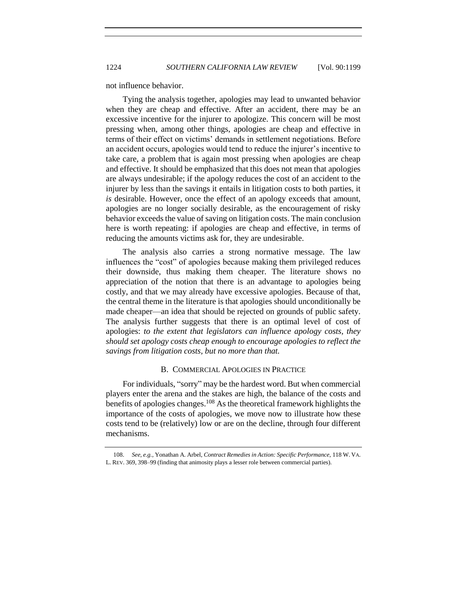not influence behavior.

Tying the analysis together, apologies may lead to unwanted behavior when they are cheap and effective. After an accident, there may be an excessive incentive for the injurer to apologize. This concern will be most pressing when, among other things, apologies are cheap and effective in terms of their effect on victims' demands in settlement negotiations. Before an accident occurs, apologies would tend to reduce the injurer's incentive to take care, a problem that is again most pressing when apologies are cheap and effective. It should be emphasized that this does not mean that apologies are always undesirable; if the apology reduces the cost of an accident to the injurer by less than the savings it entails in litigation costs to both parties, it *is* desirable. However, once the effect of an apology exceeds that amount, apologies are no longer socially desirable, as the encouragement of risky behavior exceeds the value of saving on litigation costs. The main conclusion here is worth repeating: if apologies are cheap and effective, in terms of reducing the amounts victims ask for, they are undesirable.

The analysis also carries a strong normative message. The law influences the "cost" of apologies because making them privileged reduces their downside, thus making them cheaper. The literature shows no appreciation of the notion that there is an advantage to apologies being costly, and that we may already have excessive apologies. Because of that, the central theme in the literature is that apologies should unconditionally be made cheaper—an idea that should be rejected on grounds of public safety. The analysis further suggests that there is an optimal level of cost of apologies: *to the extent that legislators can influence apology costs, they should set apology costs cheap enough to encourage apologies to reflect the savings from litigation costs, but no more than that.*

# B. COMMERCIAL APOLOGIES IN PRACTICE

<span id="page-25-0"></span>For individuals, "sorry" may be the hardest word. But when commercial players enter the arena and the stakes are high, the balance of the costs and benefits of apologies changes.<sup>108</sup> As the theoretical framework highlights the importance of the costs of apologies, we move now to illustrate how these costs tend to be (relatively) low or are on the decline, through four different mechanisms.

<sup>108.</sup> *See, e.g.*, Yonathan A. Arbel, *Contract Remedies in Action: Specific Performance,* 118 W. VA. L. REV. 369, 398–99 (finding that animosity plays a lesser role between commercial parties).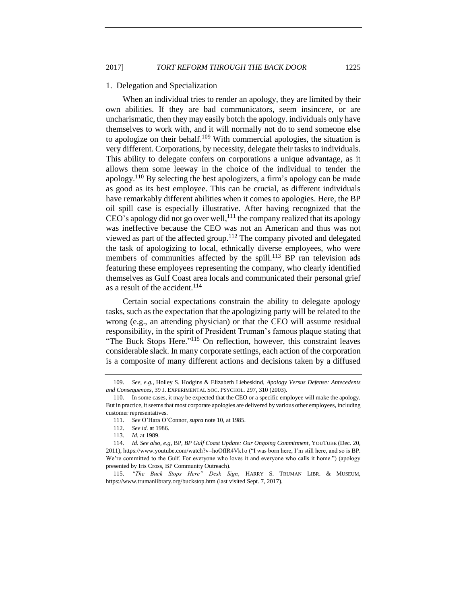#### <span id="page-26-0"></span>1. Delegation and Specialization

When an individual tries to render an apology, they are limited by their own abilities. If they are bad communicators, seem insincere, or are uncharismatic, then they may easily botch the apology. individuals only have themselves to work with, and it will normally not do to send someone else to apologize on their behalf.<sup>109</sup> With commercial apologies, the situation is very different. Corporations, by necessity, delegate their tasks to individuals. This ability to delegate confers on corporations a unique advantage, as it allows them some leeway in the choice of the individual to tender the apology.<sup>110</sup> By selecting the best apologizers, a firm's apology can be made as good as its best employee. This can be crucial, as different individuals have remarkably different abilities when it comes to apologies. Here, the BP oil spill case is especially illustrative. After having recognized that the  $CEO's$  apology did not go over well,  $^{111}$  the company realized that its apology was ineffective because the CEO was not an American and thus was not viewed as part of the affected group.<sup>112</sup> The company pivoted and delegated the task of apologizing to local, ethnically diverse employees, who were members of communities affected by the spill.<sup>113</sup> BP ran television ads featuring these employees representing the company, who clearly identified themselves as Gulf Coast area locals and communicated their personal grief as a result of the accident.<sup>114</sup>

Certain social expectations constrain the ability to delegate apology tasks, such as the expectation that the apologizing party will be related to the wrong (e.g., an attending physician) or that the CEO will assume residual responsibility, in the spirit of President Truman's famous plaque stating that "The Buck Stops Here."<sup>115</sup> On reflection, however, this constraint leaves considerable slack. In many corporate settings, each action of the corporation is a composite of many different actions and decisions taken by a diffused

<sup>109.</sup> *See, e.g.*, Holley S. Hodgins & Elizabeth Liebeskind, *Apology Versus Defense: Antecedents and Consequences*, 39 J. EXPERIMENTAL SOC. PSYCHOL. 297, 310 (2003).

<sup>110.</sup> In some cases, it may be expected that the CEO or a specific employee will make the apology. But in practice, it seems that most corporate apologies are delivered by various other employees, including customer representatives.

<sup>111.</sup> *See* O'Hara O'Connor, *supra* not[e 10,](#page-4-3) at 1985.

<sup>112.</sup> *See id.* at 1986.

<sup>113.</sup> *Id.* at 1989.

<sup>114.</sup> *Id. See also, e.g,* BP, *BP Gulf Coast Update: Our Ongoing Commitment*, YOUTUBE (Dec. 20, 2011), https://www.youtube.com/watch?v=hoOfIR4Vk1o ("I was born here, I'm still here, and so is BP. We're committed to the Gulf. For everyone who loves it and everyone who calls it home.") (apology presented by Iris Cross, BP Community Outreach).

<sup>115.</sup> *"The Buck Stops Here" Desk Sign*, HARRY S. TRUMAN LIBR. & MUSEUM, https://www.trumanlibrary.org/buckstop.htm (last visited Sept. 7, 2017).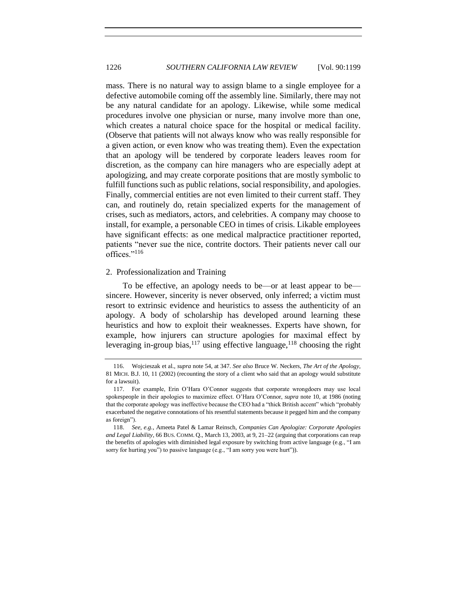mass. There is no natural way to assign blame to a single employee for a defective automobile coming off the assembly line. Similarly, there may not be any natural candidate for an apology. Likewise, while some medical procedures involve one physician or nurse, many involve more than one, which creates a natural choice space for the hospital or medical facility. (Observe that patients will not always know who was really responsible for a given action, or even know who was treating them). Even the expectation that an apology will be tendered by corporate leaders leaves room for discretion, as the company can hire managers who are especially adept at apologizing, and may create corporate positions that are mostly symbolic to fulfill functions such as public relations, social responsibility, and apologies. Finally, commercial entities are not even limited to their current staff. They can, and routinely do, retain specialized experts for the management of crises, such as mediators, actors, and celebrities. A company may choose to install, for example, a personable CEO in times of crisis. Likable employees have significant effects: as one medical malpractice practitioner reported, patients "never sue the nice, contrite doctors. Their patients never call our offices."<sup>116</sup>

### <span id="page-27-0"></span>2. Professionalization and Training

To be effective, an apology needs to be—or at least appear to be sincere. However, sincerity is never observed, only inferred; a victim must resort to extrinsic evidence and heuristics to assess the authenticity of an apology. A body of scholarship has developed around learning these heuristics and how to exploit their weaknesses. Experts have shown, for example, how injurers can structure apologies for maximal effect by leveraging in-group bias,  $117$  using effective language,  $118$  choosing the right

<span id="page-27-1"></span><sup>116.</sup> Wojcieszak et al., *supra* note [54,](#page-12-2) at 347. *See also* Bruce W. Neckers, *The Art of the Apology*, 81 MICH. B.J. 10, 11 (2002) (recounting the story of a client who said that an apology would substitute for a lawsuit).

<sup>117.</sup> For example, Erin O'Hara O'Connor suggests that corporate wrongdoers may use local spokespeople in their apologies to maximize effect. O'Hara O'Connor, *supra* note [10,](#page-4-3) at 1986 (noting that the corporate apology was ineffective because the CEO had a "thick British accent" which "probably exacerbated the negative connotations of his resentful statements because it pegged him and the company as foreign").

<sup>118.</sup> *See, e.g.*, Ameeta Patel & Lamar Reinsch, *Companies Can Apologize: Corporate Apologies and Legal Liability*, 66 BUS. COMM. Q., March 13, 2003, at 9, 21–22 (arguing that corporations can reap the benefits of apologies with diminished legal exposure by switching from active language (e.g., "I am sorry for hurting you") to passive language (e.g., "I am sorry you were hurt")).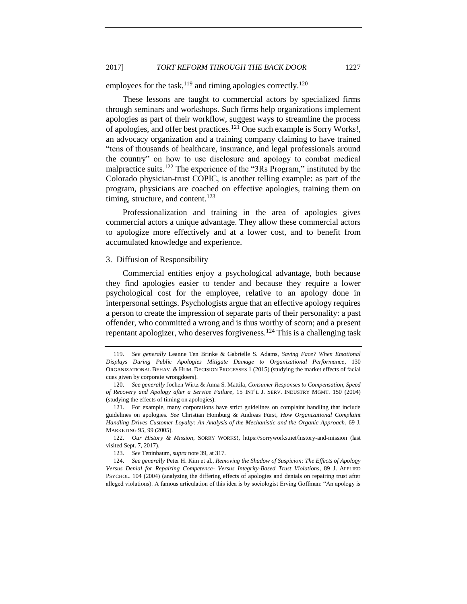# 2017] *TORT REFORM THROUGH THE BACK DOOR* 1227

employees for the task,<sup>119</sup> and timing apologies correctly.<sup>120</sup>

<span id="page-28-1"></span>These lessons are taught to commercial actors by specialized firms through seminars and workshops. Such firms help organizations implement apologies as part of their workflow, suggest ways to streamline the process of apologies, and offer best practices.<sup>121</sup> One such example is Sorry Works!, an advocacy organization and a training company claiming to have trained "tens of thousands of healthcare, insurance, and legal professionals around the country" on how to use disclosure and apology to combat medical malpractice suits.<sup>122</sup> The experience of the "3Rs Program," instituted by the Colorado physician-trust COPIC, is another telling example: as part of the program, physicians are coached on effective apologies, training them on timing, structure, and content.<sup>123</sup>

Professionalization and training in the area of apologies gives commercial actors a unique advantage. They allow these commercial actors to apologize more effectively and at a lower cost, and to benefit from accumulated knowledge and experience.

#### <span id="page-28-0"></span>3. Diffusion of Responsibility

Commercial entities enjoy a psychological advantage, both because they find apologies easier to tender and because they require a lower psychological cost for the employee, relative to an apology done in interpersonal settings. Psychologists argue that an effective apology requires a person to create the impression of separate parts of their personality: a past offender, who committed a wrong and is thus worthy of scorn; and a present repentant apologizer, who deserves forgiveness.<sup>124</sup> This is a challenging task

<sup>119.</sup> *See generally* Leanne Ten Brinke & Gabrielle S. Adams, *Saving Face? When Emotional Displays During Public Apologies Mitigate Damage to Organizational Performance*, 130 ORGANIZATIONAL BEHAV. & HUM. DECISION PROCESSES 1 (2015) (studying the market effects of facial cues given by corporate wrongdoers).

<sup>120.</sup> *See generally* Jochen Wirtz & Anna S. Mattila, *Consumer Responses to Compensation, Speed of Recovery and Apology after a Service Failure*, 15 INT'L J. SERV. INDUSTRY MGMT. 150 (2004) (studying the effects of timing on apologies).

<sup>121.</sup> For example, many corporations have strict guidelines on complaint handling that include guidelines on apologies. *See* Christian Homburg & Andreas Fürst, *How Organizational Complaint Handling Drives Customer Loyalty: An Analysis of the Mechanistic and the Organic Approach*, 69 J. MARKETING 95, 99 (2005).

<sup>122</sup>*. Our History & Mission*, SORRY WORKS!, https://sorryworks.net/history-and-mission (last visited Sept. 7, 2017).

<sup>123.</sup> *See* Teninbaum, *supra* not[e 39,](#page-9-1) at 317.

<sup>124.</sup> *See generally* Peter H. Kim et al., *Removing the Shadow of Suspicion: The Effects of Apology Versus Denial for Repairing Competence- Versus Integrity-Based Trust Violations*, 89 J. APPLIED PSYCHOL. 104 (2004) (analyzing the differing effects of apologies and denials on repairing trust after alleged violations). A famous articulation of this idea is by sociologist Erving Goffman: "An apology is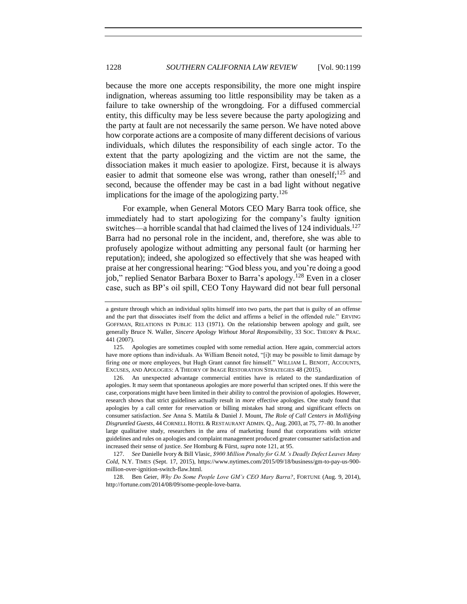because the more one accepts responsibility, the more one might inspire indignation, whereas assuming too little responsibility may be taken as a failure to take ownership of the wrongdoing. For a diffused commercial entity, this difficulty may be less severe because the party apologizing and the party at fault are not necessarily the same person. We have noted above how corporate actions are a composite of many different decisions of various individuals, which dilutes the responsibility of each single actor. To the extent that the party apologizing and the victim are not the same, the dissociation makes it much easier to apologize. First, because it is always easier to admit that someone else was wrong, rather than oneself;<sup>125</sup> and second, because the offender may be cast in a bad light without negative implications for the image of the apologizing party.<sup>126</sup>

<span id="page-29-0"></span>For example, when General Motors CEO Mary Barra took office, she immediately had to start apologizing for the company's faulty ignition switches—a horrible scandal that had claimed the lives of  $124$  individuals.<sup>127</sup> Barra had no personal role in the incident, and, therefore, she was able to profusely apologize without admitting any personal fault (or harming her reputation); indeed, she apologized so effectively that she was heaped with praise at her congressional hearing: "God bless you, and you're doing a good job," replied Senator Barbara Boxer to Barra's apology.<sup>128</sup> Even in a closer case, such as BP's oil spill, CEO Tony Hayward did not bear full personal

126. An unexpected advantage commercial entities have is related to the standardization of apologies. It may seem that spontaneous apologies are more powerful than scripted ones. If this were the case, corporations might have been limited in their ability to control the provision of apologies. However, research shows that strict guidelines actually result in *more* effective apologies. One study found that apologies by a call center for reservation or billing mistakes had strong and significant effects on consumer satisfaction. *See* Anna S. Mattila & Daniel J. Mount, *The Role of Call Centers in Mollifying Disgruntled Guests*, 44 CORNELL HOTEL & RESTAURANT ADMIN. Q., Aug. 2003, at 75, 77–80. In another large qualitative study, researchers in the area of marketing found that corporations with stricter guidelines and rules on apologies and complaint management produced greater consumer satisfaction and increased their sense of justice. *See* Homburg & Fürst, *supra* not[e 121,](#page-28-1) at 95.

127. *See* Danielle Ivory & Bill Vlasic, *\$900 Million Penalty for G.M.'s Deadly Defect Leaves Many Cold*, N.Y. TIMES (Sept. 17, 2015), https://www.nytimes.com/2015/09/18/business/gm-to-pay-us-900 million-over-ignition-switch-flaw.html.

128. Ben Geier, *Why Do Some People Love GM's CEO Mary Barra?*, FORTUNE (Aug. 9, 2014), http://fortune.com/2014/08/09/some-people-love-barra.

a gesture through which an individual splits himself into two parts, the part that is guilty of an offense and the part that dissociates itself from the delict and affirms a belief in the offended rule." ERVING GOFFMAN, RELATIONS IN PUBLIC 113 (1971). On the relationship between apology and guilt, see generally Bruce N. Waller, *Sincere Apology Without Moral Responsibility*, 33 SOC. THEORY & PRAC. 441 (2007).

<sup>125.</sup> Apologies are sometimes coupled with some remedial action. Here again, commercial actors have more options than individuals. As William Benoit noted, "[i]t may be possible to limit damage by firing one or more employees, but Hugh Grant cannot fire himself." WILLIAM L. BENOIT, ACCOUNTS, EXCUSES, AND APOLOGIES: A THEORY OF IMAGE RESTORATION STRATEGIES 48 (2015).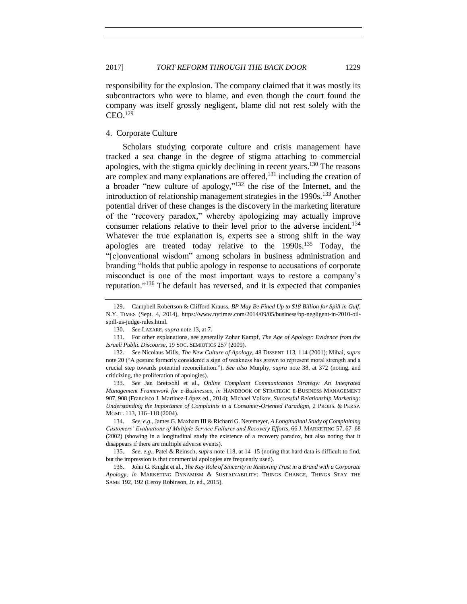responsibility for the explosion. The company claimed that it was mostly its subcontractors who were to blame, and even though the court found the company was itself grossly negligent, blame did not rest solely with the  $CEO.<sup>129</sup>$ 

#### <span id="page-30-0"></span>4. Corporate Culture

Scholars studying corporate culture and crisis management have tracked a sea change in the degree of stigma attaching to commercial apologies, with the stigma quickly declining in recent years.<sup>130</sup> The reasons are complex and many explanations are offered, <sup>131</sup> including the creation of a broader "new culture of apology,"<sup>132</sup> the rise of the Internet, and the introduction of relationship management strategies in the 1990s.<sup>133</sup> Another potential driver of these changes is the discovery in the marketing literature of the "recovery paradox," whereby apologizing may actually improve consumer relations relative to their level prior to the adverse incident.<sup>134</sup> Whatever the true explanation is, experts see a strong shift in the way apologies are treated today relative to the  $1990s$ .<sup>135</sup> Today, the "[c]onventional wisdom" among scholars in business administration and branding "holds that public apology in response to accusations of corporate misconduct is one of the most important ways to restore a company's reputation." <sup>136</sup> The default has reversed, and it is expected that companies

<sup>129.</sup> Campbell Robertson & Clifford Krauss, *BP May Be Fined Up to \$18 Billion for Spill in Gulf*, N.Y. TIMES (Sept. 4, 2014), https://www.nytimes.com/2014/09/05/business/bp-negligent-in-2010-oilspill-us-judge-rules.html.

<sup>130.</sup> *See* LAZARE, *supra* not[e 13,](#page-5-0) at 7.

<sup>131.</sup> For other explanations, see generally Zohar Kampf, *The Age of Apology: Evidence from the Israeli Public Discourse*, 19 SOC. SEMIOTICS 257 (2009).

<sup>132.</sup> *See* Nicolaus Mills, *The New Culture of Apology*, 48 DISSENT 113, 114 (2001); Mihai, *supra*  note [20](#page-6-3) ("A gesture formerly considered a sign of weakness has grown to represent moral strength and a crucial step towards potential reconciliation."). *See also* Murphy, *supra* note [38,](#page-9-3) at 372 (noting, and criticizing, the proliferation of apologies).

<sup>133.</sup> *See* Jan Breitsohl et al., *Online Complaint Communication Strategy: An Integrated Management Framework for e-Businesses*, *in* HANDBOOK OF STRATEGIC E-BUSINESS MANAGEMENT 907, 908 (Francisco J. Martinez-López ed., 2014); Michael Volkov, *Successful Relationship Marketing: Understanding the Importance of Complaints in a Consumer-Oriented Paradigm*, 2 PROBS. & PERSP. MGMT. 113, 116–118 (2004).

<sup>134.</sup> *See, e.g.*,James G. Maxham III & Richard G. Netemeyer, *A Longitudinal Study of Complaining Customers' Evaluations of Multiple Service Failures and Recovery Efforts*, 66 J. MARKETING 57, 67–68 (2002) (showing in a longitudinal study the existence of a recovery paradox, but also noting that it disappears if there are multiple adverse events).

<sup>135.</sup> *See, e.g.*, Patel & Reinsch, *supra* note [118,](#page-27-1) at 14–15 (noting that hard data is difficult to find, but the impression is that commercial apologies are frequently used).

<sup>136.</sup> John G. Knight et al., *The Key Role of Sincerity in Restoring Trust in a Brand with a Corporate Apology*, *in* MARKETING DYNAMISM & SUSTAINABILITY: THINGS CHANGE, THINGS STAY THE SAME 192, 192 (Leroy Robinson, Jr. ed., 2015).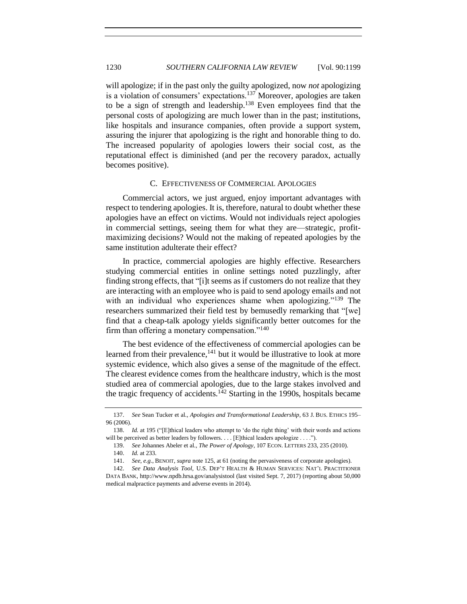will apologize; if in the past only the guilty apologized, now *not* apologizing is a violation of consumers' expectations.<sup>137</sup> Moreover, apologies are taken to be a sign of strength and leadership.<sup>138</sup> Even employees find that the personal costs of apologizing are much lower than in the past; institutions, like hospitals and insurance companies, often provide a support system, assuring the injurer that apologizing is the right and honorable thing to do. The increased popularity of apologies lowers their social cost, as the reputational effect is diminished (and per the recovery paradox, actually becomes positive).

#### <span id="page-31-1"></span>C. EFFECTIVENESS OF COMMERCIAL APOLOGIES

<span id="page-31-0"></span>Commercial actors, we just argued, enjoy important advantages with respect to tendering apologies. It is, therefore, natural to doubt whether these apologies have an effect on victims. Would not individuals reject apologies in commercial settings, seeing them for what they are—strategic, profitmaximizing decisions? Would not the making of repeated apologies by the same institution adulterate their effect?

In practice, commercial apologies are highly effective. Researchers studying commercial entities in online settings noted puzzlingly, after finding strong effects, that "[i]t seems as if customers do not realize that they are interacting with an employee who is paid to send apology emails and not with an individual who experiences shame when apologizing."<sup>139</sup> The researchers summarized their field test by bemusedly remarking that "[we] find that a cheap-talk apology yields significantly better outcomes for the firm than offering a monetary compensation."<sup>140</sup>

The best evidence of the effectiveness of commercial apologies can be learned from their prevalence, $141$  but it would be illustrative to look at more systemic evidence, which also gives a sense of the magnitude of the effect. The clearest evidence comes from the healthcare industry, which is the most studied area of commercial apologies, due to the large stakes involved and the tragic frequency of accidents.<sup>142</sup> Starting in the 1990s, hospitals became

<sup>137.</sup> *See* Sean Tucker et al., *Apologies and Transformational Leadership*, 63 J. BUS. ETHICS 195– 96 (2006).

<sup>138.</sup> *Id.* at 195 ("[E]thical leaders who attempt to 'do the right thing' with their words and actions will be perceived as better leaders by followers. . . . [E]thical leaders apologize . . . .").

<sup>139.</sup> *See* Johannes Abeler et al., *The Power of Apology*, 107 ECON. LETTERS 233, 235 (2010).

<sup>140.</sup> *Id.* at 233.

<sup>141.</sup> *See, e.g.*, BENOIT, *supra* not[e 125,](#page-29-0) at 61 (noting the pervasiveness of corporate apologies).

<sup>142.</sup> *See Data Analysis Tool*, U.S. DEP'T HEALTH & HUMAN SERVICES: NAT'L PRACTITIONER DATA BANK, http://www.npdb.hrsa.gov/analysistool (last visited Sept. 7, 2017) (reporting about 50,000 medical malpractice payments and adverse events in 2014).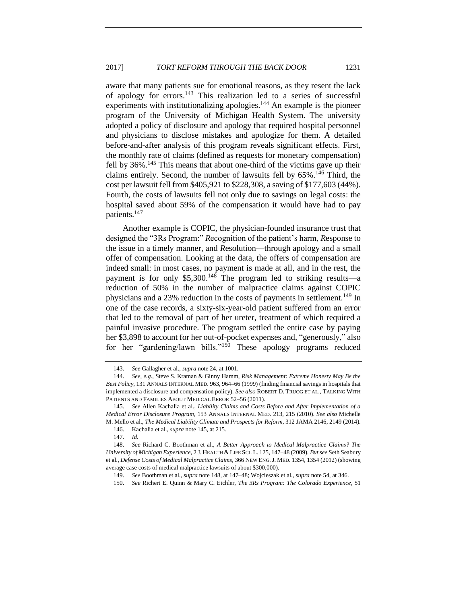aware that many patients sue for emotional reasons, as they resent the lack of apology for errors.<sup>143</sup> This realization led to a series of successful experiments with institutionalizing apologies.<sup>144</sup> An example is the pioneer program of the University of Michigan Health System. The university adopted a policy of disclosure and apology that required hospital personnel and physicians to disclose mistakes and apologize for them. A detailed before-and-after analysis of this program reveals significant effects. First, the monthly rate of claims (defined as requests for monetary compensation) fell by  $36\%$ .<sup>145</sup> This means that about one-third of the victims gave up their claims entirely. Second, the number of lawsuits fell by 65%.<sup>146</sup> Third, the cost per lawsuit fell from \$405,921 to \$228,308, a saving of \$177,603 (44%). Fourth, the costs of lawsuits fell not only due to savings on legal costs: the hospital saved about 59% of the compensation it would have had to pay patients.<sup>147</sup>

<span id="page-32-1"></span><span id="page-32-0"></span>Another example is COPIC, the physician-founded insurance trust that designed the "3Rs Program:" *R*ecognition of the patient's harm, *R*esponse to the issue in a timely manner, and *R*esolution—through apology and a small offer of compensation. Looking at the data, the offers of compensation are indeed small: in most cases, no payment is made at all, and in the rest, the payment is for only \$5,300.<sup>148</sup> The program led to striking results—a reduction of 50% in the number of malpractice claims against COPIC physicians and a 23% reduction in the costs of payments in settlement.<sup>149</sup> In one of the case records, a sixty-six-year-old patient suffered from an error that led to the removal of part of her ureter, treatment of which required a painful invasive procedure. The program settled the entire case by paying her \$3,898 to account for her out-of-pocket expenses and, "generously," also for her "gardening/lawn bills."<sup>150</sup> These apology programs reduced

<sup>143.</sup> *See* Gallagher et al., *supra* not[e 24,](#page-7-2) at 1001.

<sup>144.</sup> *See, e.g.*, Steve S. Kraman & Ginny Hamm, *Risk Management: Extreme Honesty May Be the Best Policy*, 131 ANNALS INTERNAL MED. 963, 964–66 (1999) (finding financial savings in hospitals that implemented a disclosure and compensation policy). *See also* ROBERT D. TRUOG ET AL., TALKING WITH PATIENTS AND FAMILIES ABOUT MEDICAL ERROR 52–56 (2011).

<sup>145.</sup> *See* Allen Kachalia et al., *Liability Claims and Costs Before and After Implementation of a Medical Error Disclosure Program*, 153 ANNALS INTERNAL MED. 213, 215 (2010). *See also* Michelle M. Mello et al., *The Medical Liability Climate and Prospects for Reform*, 312 JAMA 2146, 2149 (2014).

<sup>146.</sup> Kachalia et al., *supra* not[e 145,](#page-32-0) at 215.

<sup>147.</sup> *Id.*

<sup>148.</sup> *See* Richard C. Boothman et al., *A Better Approach to Medical Malpractice Claims? The University of Michigan Experience*, 2 J. HEALTH & LIFE SCI. L. 125, 147–48 (2009). *But see* Seth Seabury et al., *Defense Costs of Medical Malpractice Claims*, 366 NEW ENG.J. MED. 1354, 1354 (2012) (showing average case costs of medical malpractice lawsuits of about \$300,000).

<sup>149.</sup> *See* Boothman et al., *supra* not[e 148,](#page-32-1) at 147–48; Wojcieszak et al., *supra* note [54,](#page-12-2) at 346.

<sup>150.</sup> *See* Richert E. Quinn & Mary C. Eichler, *The 3Rs Program: The Colorado Experience*, 51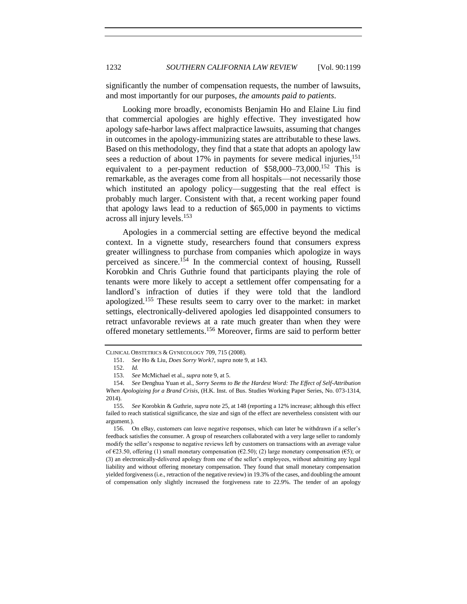significantly the number of compensation requests, the number of lawsuits, and most importantly for our purposes, *the amounts paid to patients*.

Looking more broadly, economists Benjamin Ho and Elaine Liu find that commercial apologies are highly effective. They investigated how apology safe-harbor laws affect malpractice lawsuits, assuming that changes in outcomes in the apology-immunizing states are attributable to these laws. Based on this methodology, they find that a state that adopts an apology law sees a reduction of about 17% in payments for severe medical injuries,<sup>151</sup> equivalent to a per-payment reduction of  $$58,000–73,000$ <sup>152</sup> This is remarkable, as the averages come from all hospitals—not necessarily those which instituted an apology policy—suggesting that the real effect is probably much larger. Consistent with that, a recent working paper found that apology laws lead to a reduction of \$65,000 in payments to victims across all injury levels.<sup>153</sup>

Apologies in a commercial setting are effective beyond the medical context. In a vignette study, researchers found that consumers express greater willingness to purchase from companies which apologize in ways perceived as sincere.<sup>154</sup> In the commercial context of housing, Russell Korobkin and Chris Guthrie found that participants playing the role of tenants were more likely to accept a settlement offer compensating for a landlord's infraction of duties if they were told that the landlord apologized.<sup>155</sup> These results seem to carry over to the market: in market settings, electronically-delivered apologies led disappointed consumers to retract unfavorable reviews at a rate much greater than when they were offered monetary settlements.<sup>156</sup> Moreover, firms are said to perform better

CLINICAL OBSTETRICS & GYNECOLOGY 709, 715 (2008).

<sup>151.</sup> *See* Ho & Liu, *Does Sorry Work?*, *supra* note [9,](#page-3-0) at 143.

<sup>152.</sup> *Id.*

<sup>153.</sup> *See* McMichael et al., *supra* not[e 9,](#page-3-0) at 5.

<sup>154.</sup> *See* Denghua Yuan et al., *Sorry Seems to Be the Hardest Word: The Effect of Self-Attribution When Apologizing for a Brand Crisis*, (H.K. Inst. of Bus. Studies Working Paper Series, No. 073-1314, 2014).

<sup>155.</sup> *See* Korobkin & Guthrie, *supra* not[e 25,](#page-7-0) at 148 (reporting a 12% increase; although this effect failed to reach statistical significance, the size and sign of the effect are nevertheless consistent with our argument.).

<sup>156.</sup> On eBay, customers can leave negative responses, which can later be withdrawn if a seller's feedback satisfies the consumer. A group of researchers collaborated with a very large seller to randomly modify the seller's response to negative reviews left by customers on transactions with an average value of  $\epsilon$ 23.50, offering (1) small monetary compensation ( $\epsilon$ 2.50); (2) large monetary compensation ( $\epsilon$ 5); or (3) an electronically-delivered apology from one of the seller's employees, without admitting any legal liability and without offering monetary compensation. They found that small monetary compensation yielded forgiveness (i.e., retraction of the negative review) in 19.3% of the cases, and doubling the amount of compensation only slightly increased the forgiveness rate to 22.9%. The tender of an apology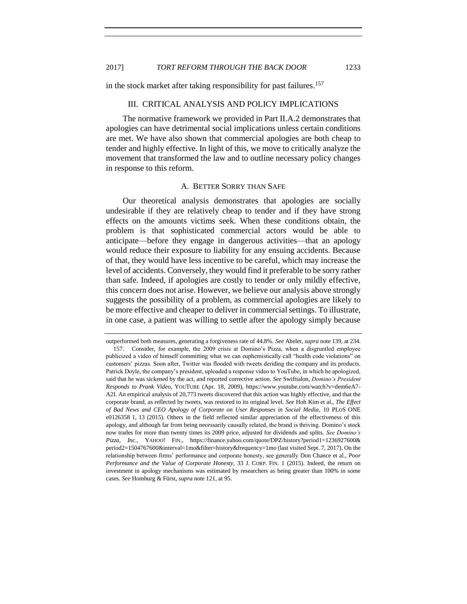<span id="page-34-0"></span>in the stock market after taking responsibility for past failures.<sup>157</sup>

#### III. CRITICAL ANALYSIS AND POLICY IMPLICATIONS

The normative framework we provided in Part II.A.2 demonstrates that apologies can have detrimental social implications unless certain conditions are met. We have also shown that commercial apologies are both cheap to tender and highly effective. In light of this, we move to critically analyze the movement that transformed the law and to outline necessary policy changes in response to this reform.

#### A. BETTER SORRY THAN SAFE

<span id="page-34-1"></span>Our theoretical analysis demonstrates that apologies are socially undesirable if they are relatively cheap to tender and if they have strong effects on the amounts victims seek. When these conditions obtain, the problem is that sophisticated commercial actors would be able to anticipate—before they engage in dangerous activities—that an apology would reduce their exposure to liability for any ensuing accidents. Because of that, they would have less incentive to be careful, which may increase the level of accidents. Conversely, they would find it preferable to be sorry rather than safe. Indeed, if apologies are costly to tender or only mildly effective, this concern does not arise. However, we believe our analysis above strongly suggests the possibility of a problem, as commercial apologies are likely to be more effective and cheaper to deliver in commercial settings. To illustrate, in one case, a patient was willing to settle after the apology simply because

outperformed both measures, generating a forgiveness rate of 44.8%. *See* Abeler, *supra* not[e 139,](#page-31-1) at 234. 157. Consider, for example, the 2009 crisis at Domino's Pizza, when a disgruntled employee publicized a video of himself committing what we can euphemistically call "health code violations" on customers' pizzas. Soon after, Twitter was flooded with tweets deriding the company and its products. Patrick Doyle, the company's president, uploaded a response video to YouTube, in which he apologized, said that he was sickened by the act, and reported corrective action. *See* Swifttalon, *Domino's President Responds to Prank Video*, YOUTUBE (Apr. 18, 2009), https://www.youtube.com/watch?v=dem6eA7- A2I. An empirical analysis of 20,773 tweets discovered that this action was highly effective, and that the corporate brand, as reflected by tweets, was restored to its original level. *See* Hoh Kim et al., *The Effect of Bad News and CEO Apology of Corporate on User Responses in Social Media*, 10 PLOS ONE e0126358 1, 13 (2015). Others in the field reflected similar appreciation of the effectiveness of this apology, and although far from being necessarily causally related, the brand is thriving. Domino's stock now trades for more than twenty times its 2009 price, adjusted for dividends and splits. *See Domino's Pizza, Inc.*, YAHOO! FIN., https://finance.yahoo.com/quote/DPZ/history?period1=1236927600& period2=1504767600&interval=1mo&filter=history&frequency=1mo (last visited Sept. 7, 2017). On the relationship between firms' performance and corporate honesty, see generally Don Chance et al., *Poor Performance and the Value of Corporate Honesty*, 33 J. CORP. FIN. 1 (2015). Indeed, the return on investment in apology mechanisms was estimated by researchers as being greater than 100% in some cases. *See* Homburg & Fürst, *supra* not[e 121,](#page-28-1) at 95.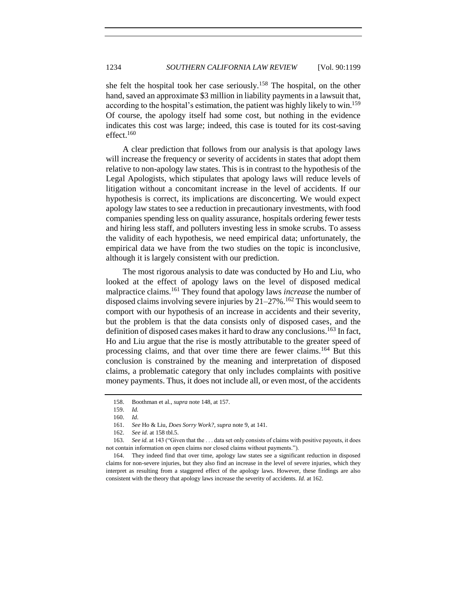she felt the hospital took her case seriously.<sup>158</sup> The hospital, on the other hand, saved an approximate \$3 million in liability payments in a lawsuit that, according to the hospital's estimation, the patient was highly likely to win.<sup>159</sup> Of course, the apology itself had some cost, but nothing in the evidence indicates this cost was large; indeed, this case is touted for its cost-saving effect. $160$ 

A clear prediction that follows from our analysis is that apology laws will increase the frequency or severity of accidents in states that adopt them relative to non-apology law states. This is in contrast to the hypothesis of the Legal Apologists, which stipulates that apology laws will reduce levels of litigation without a concomitant increase in the level of accidents. If our hypothesis is correct, its implications are disconcerting. We would expect apology law states to see a reduction in precautionary investments, with food companies spending less on quality assurance, hospitals ordering fewer tests and hiring less staff, and polluters investing less in smoke scrubs. To assess the validity of each hypothesis, we need empirical data; unfortunately, the empirical data we have from the two studies on the topic is inconclusive, although it is largely consistent with our prediction.

The most rigorous analysis to date was conducted by Ho and Liu, who looked at the effect of apology laws on the level of disposed medical malpractice claims.<sup>161</sup> They found that apology laws *increase* the number of disposed claims involving severe injuries by  $21-27\%$ .<sup>162</sup> This would seem to comport with our hypothesis of an increase in accidents and their severity, but the problem is that the data consists only of disposed cases, and the definition of disposed cases makes it hard to draw any conclusions.<sup>163</sup> In fact, Ho and Liu argue that the rise is mostly attributable to the greater speed of processing claims, and that over time there are fewer claims.<sup>164</sup> But this conclusion is constrained by the meaning and interpretation of disposed claims, a problematic category that only includes complaints with positive money payments. Thus, it does not include all, or even most, of the accidents

<sup>158.</sup> Boothman et al., *supra* note [148,](#page-32-1) at 157.

<sup>159.</sup> *Id.*

<sup>160.</sup> *Id*.

<sup>161.</sup> *See* Ho & Liu, *Does Sorry Work?*, *supra* note [9,](#page-3-0) at 141.

<sup>162.</sup> *See id.* at 158 tbl.5.

<sup>163.</sup> *See id.* at 143 ("Given that the . . . data set only consists of claims with positive payouts, it does not contain information on open claims nor closed claims without payments.").

<sup>164.</sup> They indeed find that over time, apology law states see a significant reduction in disposed claims for non-severe injuries, but they also find an increase in the level of severe injuries, which they interpret as resulting from a staggered effect of the apology laws. However, these findings are also consistent with the theory that apology laws increase the severity of accidents. *Id.* at 162.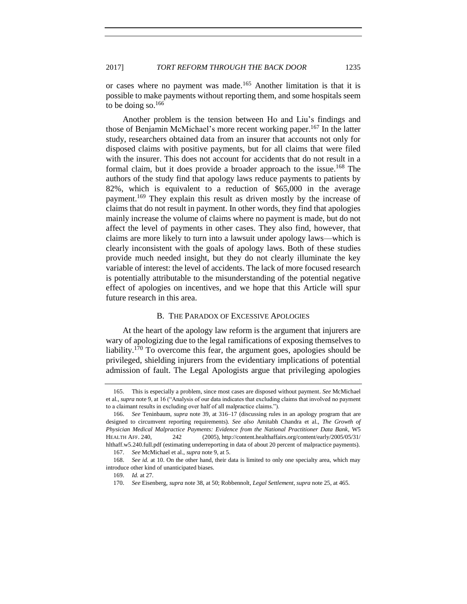or cases where no payment was made.<sup>165</sup> Another limitation is that it is possible to make payments without reporting them, and some hospitals seem to be doing so. $166$ 

Another problem is the tension between Ho and Liu's findings and those of Benjamin McMichael's more recent working paper.<sup>167</sup> In the latter study, researchers obtained data from an insurer that accounts not only for disposed claims with positive payments, but for all claims that were filed with the insurer. This does not account for accidents that do not result in a formal claim, but it does provide a broader approach to the issue.<sup>168</sup> The authors of the study find that apology laws reduce payments to patients by 82%, which is equivalent to a reduction of \$65,000 in the average payment.<sup>169</sup> They explain this result as driven mostly by the increase of claims that do not result in payment. In other words, they find that apologies mainly increase the volume of claims where no payment is made, but do not affect the level of payments in other cases. They also find, however, that claims are more likely to turn into a lawsuit under apology laws—which is clearly inconsistent with the goals of apology laws. Both of these studies provide much needed insight, but they do not clearly illuminate the key variable of interest: the level of accidents. The lack of more focused research is potentially attributable to the misunderstanding of the potential negative effect of apologies on incentives, and we hope that this Article will spur future research in this area.

# B. THE PARADOX OF EXCESSIVE APOLOGIES

<span id="page-36-0"></span>At the heart of the apology law reform is the argument that injurers are wary of apologizing due to the legal ramifications of exposing themselves to liability.<sup>170</sup> To overcome this fear, the argument goes, apologies should be privileged, shielding injurers from the evidentiary implications of potential admission of fault. The Legal Apologists argue that privileging apologies

<sup>165.</sup> This is especially a problem, since most cases are disposed without payment. *See* McMichael et al., *supra* not[e 9,](#page-3-0) at 16 ("Analysis of our data indicates that excluding claims that involved no payment to a claimant results in excluding over half of all malpractice claims.").

<sup>166.</sup> *See* Teninbaum, *supra* note [39,](#page-9-1) at 316–17 (discussing rules in an apology program that are designed to circumvent reporting requirements). *See also* Amitabh Chandra et al., *The Growth of Physician Medical Malpractice Payments: Evidence from the National Practitioner Data Bank*, W5 HEALTH AFF. 240, 242 (2005), http://content.healthaffairs.org/content/early/2005/05/31/ hlthaff.w5.240.full.pdf (estimating underreporting in data of about 20 percent of malpractice payments).

<sup>167.</sup> *See* McMichael et al., *supra* not[e 9,](#page-3-0) at 5.

<sup>168.</sup> *See id.* at 10. On the other hand, their data is limited to only one specialty area, which may introduce other kind of unanticipated biases.

<sup>169.</sup> *Id.* at 27.

<sup>170.</sup> *See* Eisenberg, *supra* not[e 38,](#page-9-3) at 50; Robbennolt, *Legal Settlement*, *supra* not[e 25,](#page-7-0) at 465.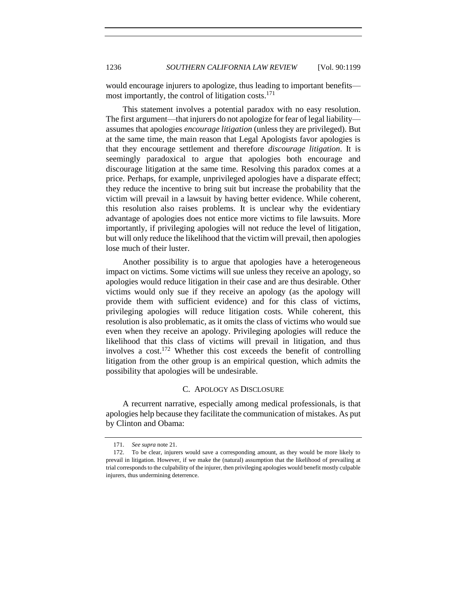would encourage injurers to apologize, thus leading to important benefits most importantly, the control of litigation costs. $171$ 

This statement involves a potential paradox with no easy resolution. The first argument—that injurers do not apologize for fear of legal liability assumes that apologies *encourage litigation* (unless they are privileged)*.* But at the same time, the main reason that Legal Apologists favor apologies is that they encourage settlement and therefore *discourage litigation*. It is seemingly paradoxical to argue that apologies both encourage and discourage litigation at the same time. Resolving this paradox comes at a price. Perhaps, for example, unprivileged apologies have a disparate effect; they reduce the incentive to bring suit but increase the probability that the victim will prevail in a lawsuit by having better evidence. While coherent, this resolution also raises problems. It is unclear why the evidentiary advantage of apologies does not entice more victims to file lawsuits. More importantly, if privileging apologies will not reduce the level of litigation, but will only reduce the likelihood that the victim will prevail, then apologies lose much of their luster.

Another possibility is to argue that apologies have a heterogeneous impact on victims. Some victims will sue unless they receive an apology, so apologies would reduce litigation in their case and are thus desirable. Other victims would only sue if they receive an apology (as the apology will provide them with sufficient evidence) and for this class of victims, privileging apologies will reduce litigation costs. While coherent, this resolution is also problematic, as it omits the class of victims who would sue even when they receive an apology. Privileging apologies will reduce the likelihood that this class of victims will prevail in litigation, and thus involves a cost. <sup>172</sup> Whether this cost exceeds the benefit of controlling litigation from the other group is an empirical question, which admits the possibility that apologies will be undesirable.

# C. APOLOGY AS DISCLOSURE

<span id="page-37-0"></span>A recurrent narrative, especially among medical professionals, is that apologies help because they facilitate the communication of mistakes. As put by Clinton and Obama:

<sup>171.</sup> *See supra* not[e 21.](#page-6-2)

<sup>172.</sup> To be clear, injurers would save a corresponding amount, as they would be more likely to prevail in litigation. However, if we make the (natural) assumption that the likelihood of prevailing at trial corresponds to the culpability of the injurer, then privileging apologies would benefit mostly culpable injurers, thus undermining deterrence.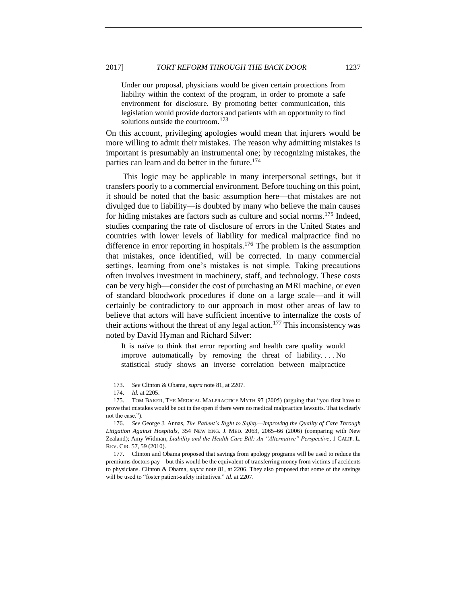#### 2017] *TORT REFORM THROUGH THE BACK DOOR* 1237

Under our proposal, physicians would be given certain protections from liability within the context of the program, in order to promote a safe environment for disclosure. By promoting better communication, this legislation would provide doctors and patients with an opportunity to find solutions outside the courtroom.<sup>173</sup>

On this account, privileging apologies would mean that injurers would be more willing to admit their mistakes. The reason why admitting mistakes is important is presumably an instrumental one; by recognizing mistakes, the parties can learn and do better in the future.<sup>174</sup>

This logic may be applicable in many interpersonal settings, but it transfers poorly to a commercial environment. Before touching on this point, it should be noted that the basic assumption here—that mistakes are not divulged due to liability—is doubted by many who believe the main causes for hiding mistakes are factors such as culture and social norms. <sup>175</sup> Indeed, studies comparing the rate of disclosure of errors in the United States and countries with lower levels of liability for medical malpractice find no difference in error reporting in hospitals.<sup>176</sup> The problem is the assumption that mistakes, once identified, will be corrected. In many commercial settings, learning from one's mistakes is not simple. Taking precautions often involves investment in machinery, staff, and technology. These costs can be very high—consider the cost of purchasing an MRI machine, or even of standard bloodwork procedures if done on a large scale—and it will certainly be contradictory to our approach in most other areas of law to believe that actors will have sufficient incentive to internalize the costs of their actions without the threat of any legal action.<sup>177</sup> This inconsistency was noted by David Hyman and Richard Silver:

It is naïve to think that error reporting and health care quality would improve automatically by removing the threat of liability. . . . No statistical study shows an inverse correlation between malpractice

<sup>173.</sup> *See* Clinton & Obama*, supra* not[e 81,](#page-16-3) at 2207.

<sup>174.</sup> *Id.* at 2205.

<sup>175.</sup> TOM BAKER, THE MEDICAL MALPRACTICE MYTH 97 (2005) (arguing that "you first have to prove that mistakes would be out in the open if there were no medical malpractice lawsuits. That is clearly not the case.").

<sup>176.</sup> *See* George J. Annas, *The Patient's Right to Safety—Improving the Quality of Care Through Litigation Against Hospitals*, 354 NEW ENG. J. MED. 2063, 2065–66 (2006) (comparing with New Zealand); Amy Widman, *Liability and the Health Care Bill: An "Alternative" Perspective*, 1 CALIF. L. REV. CIR. 57, 59 (2010).

<sup>177.</sup> Clinton and Obama proposed that savings from apology programs will be used to reduce the premiums doctors pay—but this would be the equivalent of transferring money from victims of accidents to physicians. Clinton & Obama, *supra* note [81,](#page-16-3) at 2206. They also proposed that some of the savings will be used to "foster patient-safety initiatives." *Id.* at 2207.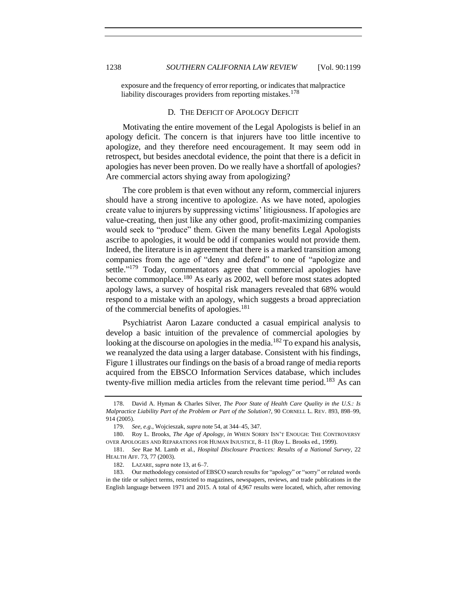exposure and the frequency of error reporting, or indicates that malpractice liability discourages providers from reporting mistakes.<sup>178</sup>

#### D*.* THE DEFICIT OF APOLOGY DEFICIT

<span id="page-39-0"></span>Motivating the entire movement of the Legal Apologists is belief in an apology deficit. The concern is that injurers have too little incentive to apologize, and they therefore need encouragement. It may seem odd in retrospect, but besides anecdotal evidence, the point that there is a deficit in apologies has never been proven. Do we really have a shortfall of apologies? Are commercial actors shying away from apologizing?

The core problem is that even without any reform, commercial injurers should have a strong incentive to apologize. As we have noted, apologies create value to injurers by suppressing victims' litigiousness. If apologies are value-creating, then just like any other good, profit-maximizing companies would seek to "produce" them. Given the many benefits Legal Apologists ascribe to apologies, it would be odd if companies would not provide them. Indeed, the literature is in agreement that there is a marked transition among companies from the age of "deny and defend" to one of "apologize and settle."<sup>179</sup> Today, commentators agree that commercial apologies have become commonplace.<sup>180</sup> As early as 2002, well before most states adopted apology laws, a survey of hospital risk managers revealed that 68% would respond to a mistake with an apology, which suggests a broad appreciation of the commercial benefits of apologies.<sup>181</sup>

Psychiatrist Aaron Lazare conducted a casual empirical analysis to develop a basic intuition of the prevalence of commercial apologies by looking at the discourse on apologies in the media.<sup>182</sup> To expand his analysis, we reanalyzed the data using a larger database. Consistent with his findings, Figure 1 illustrates our findings on the basis of a broad range of media reports acquired from the EBSCO Information Services database, which includes twenty-five million media articles from the relevant time period.<sup>183</sup> As can

<sup>178.</sup> David A. Hyman & Charles Silver, *The Poor State of Health Care Quality in the U.S.: Is Malpractice Liability Part of the Problem or Part of the Solution*?, 90 CORNELL L. REV. 893, 898–99, 914 (2005).

<span id="page-39-1"></span><sup>179.</sup> *See, e.g.*, Wojcieszak, *supra* not[e 54,](#page-12-2) at 344–45, 347.

<sup>180.</sup> Roy L. Brooks, *The Age of Apology*, *in* WHEN SORRY ISN'T ENOUGH: THE CONTROVERSY OVER APOLOGIES AND REPARATIONS FOR HUMAN INJUSTICE, 8–11 (Roy L. Brooks ed., 1999).

<sup>181.</sup> *See* Rae M. Lamb et al., *Hospital Disclosure Practices: Results of a National Survey*, 22 HEALTH AFF. 73, 77 (2003).

<sup>182.</sup> LAZARE, *supra* not[e 13,](#page-5-0) at 6–7.

<sup>183.</sup> Our methodology consisted of EBSCO search results for "apology" or "sorry" or related words in the title or subject terms, restricted to magazines, newspapers, reviews, and trade publications in the English language between 1971 and 2015. A total of 4,967 results were located, which, after removing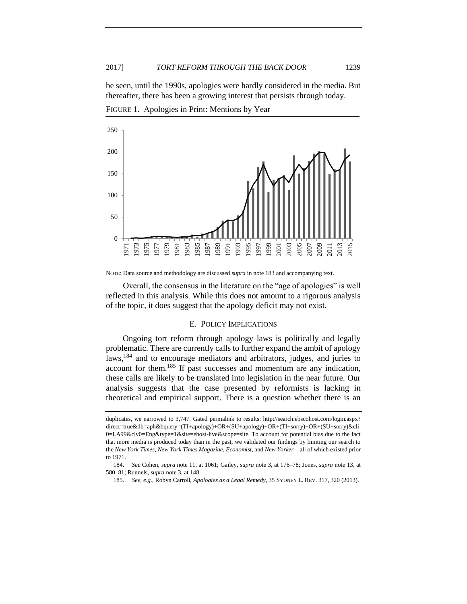be seen, until the 1990s, apologies were hardly considered in the media. But thereafter, there has been a growing interest that persists through today.

FIGURE 1. Apologies in Print: Mentions by Year



NOTE: Data source and methodology are discussed *supra* in not[e 183](#page-39-1) and accompanying text.

Overall, the consensus in the literature on the "age of apologies" is well reflected in this analysis. While this does not amount to a rigorous analysis of the topic, it does suggest that the apology deficit may not exist.

# E.POLICY IMPLICATIONS

<span id="page-40-0"></span>Ongoing tort reform through apology laws is politically and legally problematic. There are currently calls to further expand the ambit of apology laws,<sup>184</sup> and to encourage mediators and arbitrators, judges, and juries to account for them.<sup>185</sup> If past successes and momentum are any indication, these calls are likely to be translated into legislation in the near future. Our analysis suggests that the case presented by reformists is lacking in theoretical and empirical support. There is a question whether there is an

duplicates, we narrowed to 3,747. Gated permalink to results: http://search.ebscohost.com/login.aspx? direct=true&db=aph&bquery=(TI+apology)+OR+(SU+apology)+OR+(TI+sorry)+OR+(SU+sorry)&cli 0=LA99&clv0=Eng&type=1&site=ehost-live&scope=site. To account for potential bias due to the fact that more media is produced today than in the past, we validated our findings by limiting our search to the *New York Times*, *New York Times Magazine*, *Economist*, and *New Yorker*—all of which existed prior to 1971.

<sup>184.</sup> *See* Cohen, *supra* not[e 11,](#page-4-2) at 1061; Gailey, *supra* not[e 3,](#page-2-0) at 176–78; Jones, *supra* note [13,](#page-5-0) at 580–81; Runnels, *supra* not[e 3,](#page-2-0) at 148.

<sup>185.</sup> *See, e.g.*, Robyn Carroll, *Apologies as a Legal Remedy*, 35 SYDNEY L. REV. 317, 320 (2013).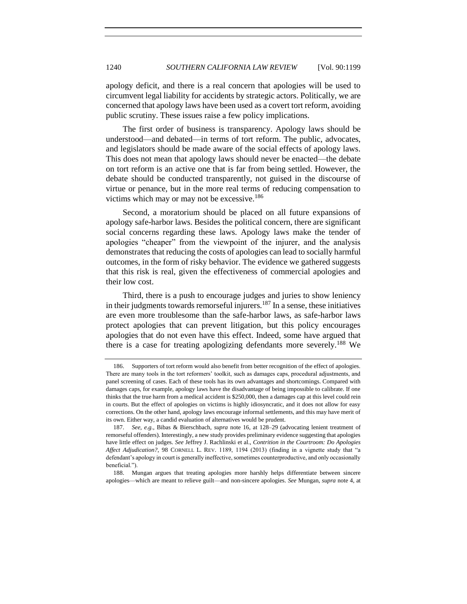apology deficit, and there is a real concern that apologies will be used to circumvent legal liability for accidents by strategic actors. Politically, we are concerned that apology laws have been used as a covert tort reform, avoiding public scrutiny. These issues raise a few policy implications.

The first order of business is transparency. Apology laws should be understood—and debated—in terms of tort reform. The public, advocates, and legislators should be made aware of the social effects of apology laws. This does not mean that apology laws should never be enacted—the debate on tort reform is an active one that is far from being settled. However, the debate should be conducted transparently, not guised in the discourse of virtue or penance, but in the more real terms of reducing compensation to victims which may or may not be excessive.<sup>186</sup>

Second, a moratorium should be placed on all future expansions of apology safe-harbor laws. Besides the political concern, there are significant social concerns regarding these laws. Apology laws make the tender of apologies "cheaper" from the viewpoint of the injurer, and the analysis demonstrates that reducing the costs of apologies can lead to socially harmful outcomes, in the form of risky behavior. The evidence we gathered suggests that this risk is real, given the effectiveness of commercial apologies and their low cost.

Third, there is a push to encourage judges and juries to show leniency in their judgments towards remorseful injurers.<sup>187</sup> In a sense, these initiatives are even more troublesome than the safe-harbor laws, as safe-harbor laws protect apologies that can prevent litigation, but this policy encourages apologies that do not even have this effect. Indeed, some have argued that there is a case for treating apologizing defendants more severely.<sup>188</sup> We

<sup>186.</sup> Supporters of tort reform would also benefit from better recognition of the effect of apologies. There are many tools in the tort reformers' toolkit, such as damages caps, procedural adjustments, and panel screening of cases. Each of these tools has its own advantages and shortcomings. Compared with damages caps, for example, apology laws have the disadvantage of being impossible to calibrate. If one thinks that the true harm from a medical accident is \$250,000, then a damages cap at this level could rein in courts. But the effect of apologies on victims is highly idiosyncratic, and it does not allow for easy corrections. On the other hand, apology laws encourage informal settlements, and this may have merit of its own. Either way, a candid evaluation of alternatives would be prudent.

<sup>187.</sup> *See, e.g.*, Bibas & Bierschbach, *supra* note [16,](#page-5-2) at 128–29 (advocating lenient treatment of remorseful offenders). Interestingly, a new study provides preliminary evidence suggesting that apologies have little effect on judges. *See* Jeffrey J. Rachlinski et al., *Contrition in the Courtroom: Do Apologies Affect Adjudication?*, 98 CORNELL L. REV. 1189, 1194 (2013) (finding in a vignette study that "a defendant's apology in court is generally ineffective, sometimes counterproductive, and only occasionally beneficial.").

<sup>188.</sup> Mungan argues that treating apologies more harshly helps differentiate between sincere apologies—which are meant to relieve guilt—and non-sincere apologies. *See* Mungan, *supra* note [4,](#page-2-1) at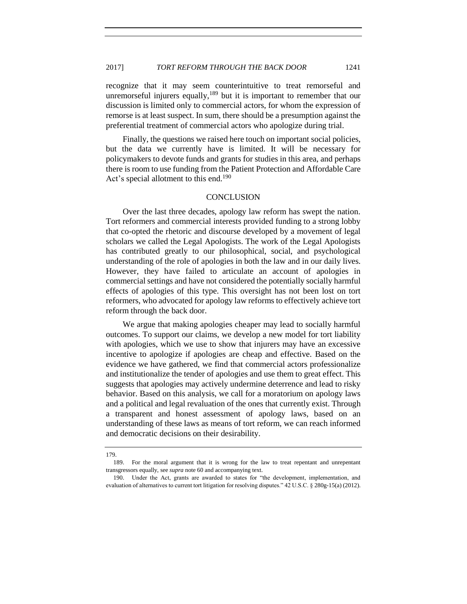recognize that it may seem counterintuitive to treat remorseful and unremorseful injurers equally,  $189$  but it is important to remember that our discussion is limited only to commercial actors, for whom the expression of remorse is at least suspect. In sum, there should be a presumption against the preferential treatment of commercial actors who apologize during trial.

Finally, the questions we raised here touch on important social policies, but the data we currently have is limited. It will be necessary for policymakers to devote funds and grants for studies in this area, and perhaps there is room to use funding from the Patient Protection and Affordable Care Act's special allotment to this end.<sup>190</sup>

# **CONCLUSION**

<span id="page-42-0"></span>Over the last three decades, apology law reform has swept the nation. Tort reformers and commercial interests provided funding to a strong lobby that co-opted the rhetoric and discourse developed by a movement of legal scholars we called the Legal Apologists. The work of the Legal Apologists has contributed greatly to our philosophical, social, and psychological understanding of the role of apologies in both the law and in our daily lives. However, they have failed to articulate an account of apologies in commercial settings and have not considered the potentially socially harmful effects of apologies of this type. This oversight has not been lost on tort reformers, who advocated for apology law reforms to effectively achieve tort reform through the back door.

We argue that making apologies cheaper may lead to socially harmful outcomes. To support our claims, we develop a new model for tort liability with apologies, which we use to show that injurers may have an excessive incentive to apologize if apologies are cheap and effective. Based on the evidence we have gathered, we find that commercial actors professionalize and institutionalize the tender of apologies and use them to great effect. This suggests that apologies may actively undermine deterrence and lead to risky behavior. Based on this analysis, we call for a moratorium on apology laws and a political and legal revaluation of the ones that currently exist. Through a transparent and honest assessment of apology laws, based on an understanding of these laws as means of tort reform, we can reach informed and democratic decisions on their desirability.

<sup>179.</sup>

<sup>189.</sup> For the moral argument that it is wrong for the law to treat repentant and unrepentant transgressors equally, see *supra* not[e 60](#page-13-1) and accompanying text.

<sup>190.</sup> Under the Act, grants are awarded to states for "the development, implementation, and evaluation of alternatives to current tort litigation for resolving disputes." 42 U.S.C. § 280g-15(a) (2012).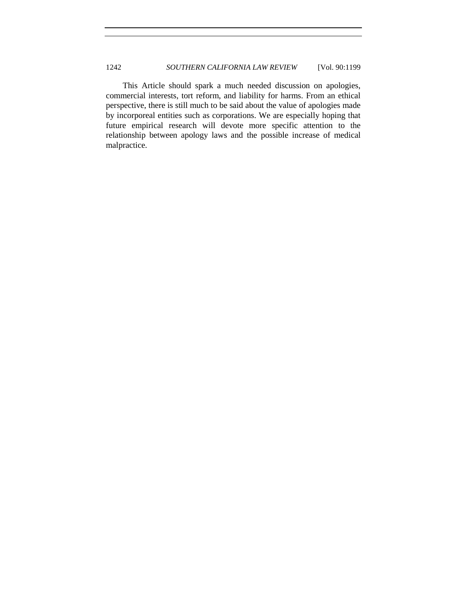This Article should spark a much needed discussion on apologies, commercial interests, tort reform, and liability for harms. From an ethical perspective, there is still much to be said about the value of apologies made by incorporeal entities such as corporations. We are especially hoping that future empirical research will devote more specific attention to the relationship between apology laws and the possible increase of medical malpractice.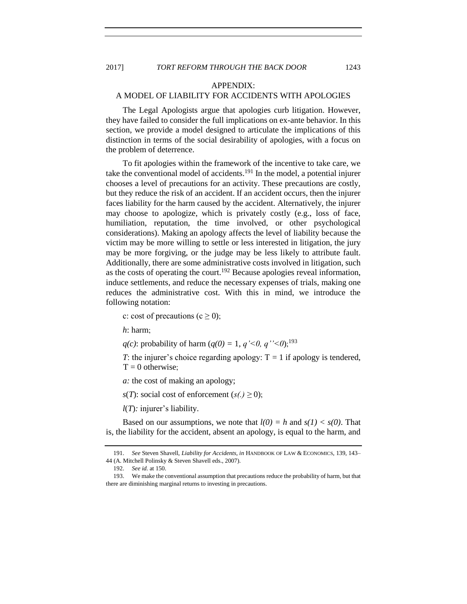# APPENDIX:

# <span id="page-44-0"></span>A MODEL OF LIABILITY FOR ACCIDENTS WITH APOLOGIES

The Legal Apologists argue that apologies curb litigation. However, they have failed to consider the full implications on ex-ante behavior. In this section, we provide a model designed to articulate the implications of this distinction in terms of the social desirability of apologies, with a focus on the problem of deterrence.

To fit apologies within the framework of the incentive to take care, we take the conventional model of accidents.<sup>191</sup> In the model, a potential injurer chooses a level of precautions for an activity. These precautions are costly, but they reduce the risk of an accident. If an accident occurs, then the injurer faces liability for the harm caused by the accident. Alternatively, the injurer may choose to apologize, which is privately costly (e.g., loss of face, humiliation, reputation, the time involved, or other psychological considerations). Making an apology affects the level of liability because the victim may be more willing to settle or less interested in litigation, the jury may be more forgiving, or the judge may be less likely to attribute fault. Additionally, there are some administrative costs involved in litigation, such as the costs of operating the court.<sup>192</sup> Because apologies reveal information, induce settlements, and reduce the necessary expenses of trials, making one reduces the administrative cost. With this in mind, we introduce the following notation:

c: cost of precautions (c  $\geq$  0);

*h*: harm;

*q*(*c*): probability of harm  $(q(0) = 1, q' < 0, q'' < 0)$ ;<sup>193</sup>

*T*: the injurer's choice regarding apology:  $T = 1$  if apology is tendered,  $T = 0$  otherwise;

*a:* the cost of making an apology;

*s*(*T*): social cost of enforcement  $(s(.) \ge 0)$ ;

*l*(*T*)*:* injurer's liability.

Based on our assumptions, we note that  $l(0) = h$  and  $s(1) < s(0)$ . That is, the liability for the accident, absent an apology, is equal to the harm, and

<sup>191.</sup> *See* Steven Shavell, *Liability for Accidents, in* HANDBOOK OF LAW & ECONOMICS, 139, 143– 44 (A. Mitchell Polinsky & Steven Shavell eds., 2007).

<sup>192.</sup> *See id.* at 150.

<sup>193.</sup> We make the conventional assumption that precautions reduce the probability of harm, but that there are diminishing marginal returns to investing in precautions.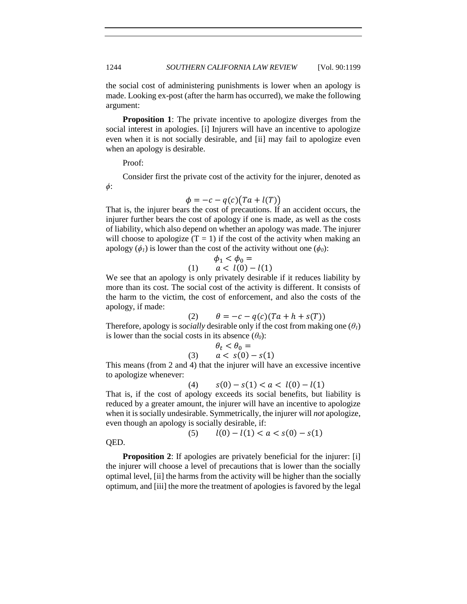the social cost of administering punishments is lower when an apology is made. Looking ex-post (after the harm has occurred), we make the following argument:

**Proposition 1**: The private incentive to apologize diverges from the social interest in apologies. [i] Injurers will have an incentive to apologize even when it is not socially desirable, and [ii] may fail to apologize even when an apology is desirable.

Proof:

*ϕ*:

Consider first the private cost of the activity for the injurer, denoted as

$$
\phi = -c - q(c)(Ta + l(T))
$$

That is, the injurer bears the cost of precautions. If an accident occurs, the injurer further bears the cost of apology if one is made, as well as the costs of liability, which also depend on whether an apology was made. The injurer will choose to apologize  $(T = 1)$  if the cost of the activity when making an apology  $(\phi_1)$  is lower than the cost of the activity without one  $(\phi_0)$ :

(1) 
$$
\begin{aligned}\n\phi_1 < \phi_0 = \\
a < l(0) - l(1)\n\end{aligned}
$$

We see that an apology is only privately desirable if it reduces liability by more than its cost. The social cost of the activity is different. It consists of the harm to the victim, the cost of enforcement, and also the costs of the apology, if made:

(2)  $\theta = -c - q(c)(Ta + h + s(T))$ 

Therefore, apology is *socially* desirable only if the cost from making one  $(\theta_I)$ is lower than the social costs in its absence  $(\theta_0)$ :

$$
\theta_t < \theta_0 = \\
a < s(0) - s(1)
$$

This means (from 2 and 4) that the injurer will have an excessive incentive to apologize whenever:

(4)  $s(0) - s(1) < a < l(0) - l(1)$ 

That is, if the cost of apology exceeds its social benefits, but liability is reduced by a greater amount, the injurer will have an incentive to apologize when it is socially undesirable. Symmetrically, the injurer will *not* apologize, even though an apology is socially desirable, if:

$$
(5) \qquad l(0) - l(1) < a < s(0) - s(1)
$$

QED.

**Proposition 2:** If apologies are privately beneficial for the injurer: [i] the injurer will choose a level of precautions that is lower than the socially optimal level, [ii] the harms from the activity will be higher than the socially optimum, and [iii] the more the treatment of apologies is favored by the legal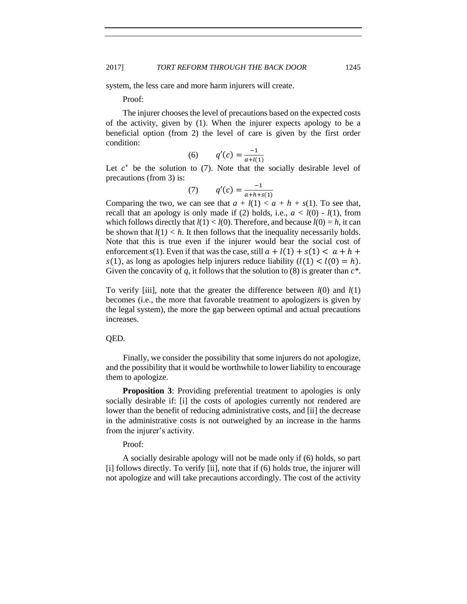system, the less care and more harm injurers will create.

Proof:

The injurer chooses the level of precautions based on the expected costs of the activity, given by (1). When the injurer expects apology to be a beneficial option (from 2) the level of care is given by the first order condition:

(6) 
$$
q'(c) = \frac{-1}{a + l(1)}
$$

Let  $c^*$  be the solution to (7). Note that the socially desirable level of precautions (from 3) is:

(7) 
$$
q'(c) = \frac{-1}{a+h+s(1)}
$$

Comparing the two, we can see that  $a + l(1) < a + h + s(1)$ . To see that, recall that an apology is only made if (2) holds, i.e.,  $a < l(0) - l(1)$ , from which follows directly that  $l(1) < l(0)$ . Therefore, and because  $l(0) = h$ , it can be shown that  $l(1) < h$ . It then follows that the inequality necessarily holds. Note that this is true even if the injurer would bear the social cost of enforcement *s*(1). Even if that was the case, still  $a + l(1) + s(1) < a + h +$  $s(1)$ , as long as apologies help injurers reduce liability  $(l(1) < l(0) = h)$ . Given the concavity of *q*, it follows that the solution to (8) is greater than *c\**.

To verify [iii], note that the greater the difference between *l*(0) and *l*(1) becomes (i.e., the more that favorable treatment to apologizers is given by the legal system), the more the gap between optimal and actual precautions increases.

# QED.

Finally, we consider the possibility that some injurers do not apologize, and the possibility that it would be worthwhile to lower liability to encourage them to apologize.

**Proposition 3:** Providing preferential treatment to apologies is only socially desirable if: [i] the costs of apologies currently not rendered are lower than the benefit of reducing administrative costs, and [ii] the decrease in the administrative costs is not outweighed by an increase in the harms from the injurer's activity.

# Proof:

A socially desirable apology will not be made only if (6) holds, so part [i] follows directly. To verify [ii], note that if (6) holds true, the injurer will not apologize and will take precautions accordingly. The cost of the activity